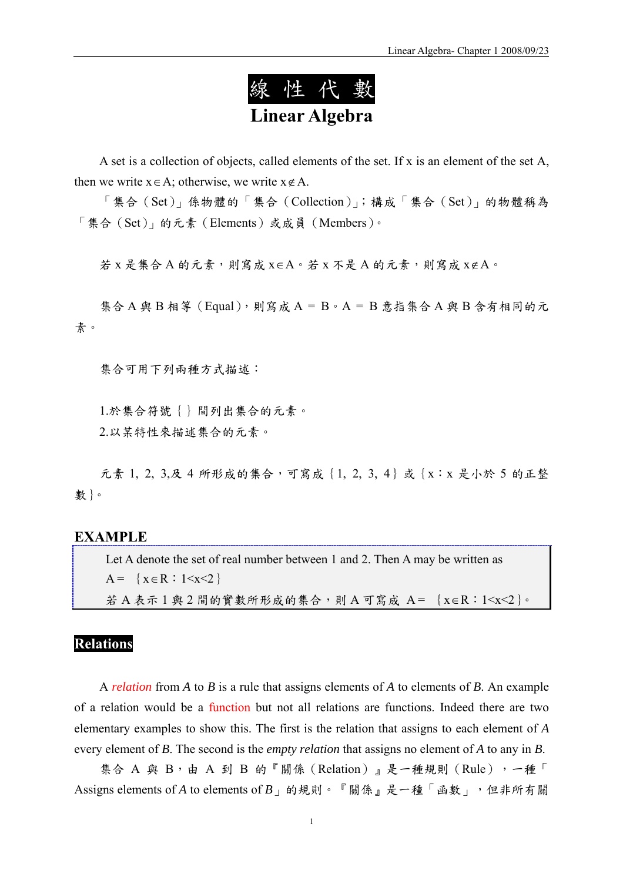

A set is a collection of objects, called elements of the set. If x is an element of the set A, then we write  $x \in A$ ; otherwise, we write  $x \notin A$ .

「集合(Set)」係物體的「集合(Collection)」;構成「集合(Set)」的物體稱為 「集合(Set)」的元素(Elements)或成員(Members)。

若 x 是集合 A 的元素,則寫成 x∈A。若 x 不是 A 的元素,則寫成 x∉A。

集合 A 與 B 相等 (Equal), 則寫成 A = B。A = B 意指集合 A 與 B 含有相同的元 素。

集合可用下列兩種方式描述:

1.於集合符號{}間列出集合的元素。 2.以某特性來描述集合的元素。

元素 1, 2, 3,及 4 所形成的集合,可寫成 {1, 2, 3, 4}或 {x:x 是小於 5 的正整 數}。

#### **EXAMPLE**

Let A denote the set of real number between 1 and 2. Then A may be written as  $A = \{x \in R : 1 \le x \le 2\}$ 

若 A 表示 1 與 2 間的實數所形成的集合,則 A 可寫成 A = {x∈R:1<x<2}。

### **Relations**

A *relation* from *A* to *B* is a rule that assigns elements of *A* to elements of *B*. An example of a relation would be a function but not all relations are functions. Indeed there are two elementary examples to show this. The first is the relation that assigns to each element of *A* every element of *B*. The second is the *empty relation* that assigns no element of *A* to any in *B*.

集合 A 與 B,由 A 到 B 的『關係 (Relation)』是一種規則 (Rule),一種「 Assigns elements of *A* to elements of *B*」的規則。『關係』是一種「函數」,但非所有關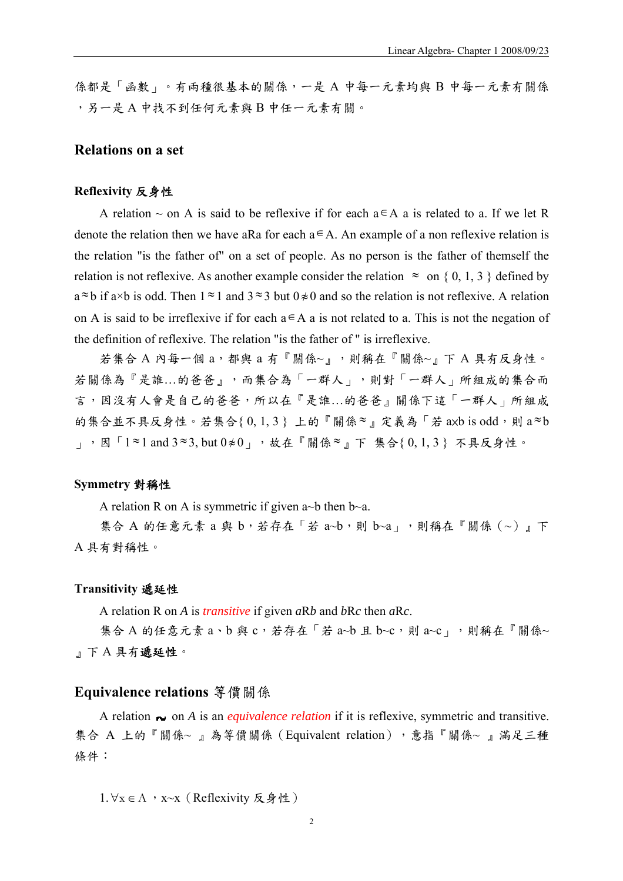係都是「函數」。有兩種很基本的關係,一是 A 中每一元素均與 B 中每一元素有關係 ,另一是 A 中找不到任何元素與 B 中任一元素有關。

### **Relations on a set**

#### **Reflexivity** 反身性

A relation  $\sim$  on A is said to be reflexive if for each a∈A a is related to a. If we let R denote the relation then we have aRa for each  $a \in A$ . An example of a non reflexive relation is the relation "is the father of" on a set of people. As no person is the father of themself the relation is not reflexive. As another example consider the relation  $\approx$  on { 0, 1, 3 } defined by  $a \approx b$  if a×b is odd. Then  $1 \approx 1$  and  $3 \approx 3$  but  $0 \neq 0$  and so the relation is not reflexive. A relation on A is said to be irreflexive if for each  $a \in A$  a is not related to a. This is not the negation of the definition of reflexive. The relation "is the father of " is irreflexive.

若集合 A 內每一個 a, 都與 a 有『關係~』,則稱在『關係~』下 A 具有反身性。 若關係為『是誰…的爸爸』,而集合為「一群人」,則對「一群人」所組成的集合而 言,因沒有人會是自己的爸爸,所以在『是誰…的爸爸』關係下這「一群人」所組成 的集合並不具反身性。若集合 $\{0, 1, 3\}$ 上的『關係≈』定義為「若 axb is odd,則 a≈b **|, 国「1≈1** and 3≈3, but 0≉0」, 故在『關係≈』下集合{ 0, 1, 3 } 不具反身性。

#### **Symmetry** 對稱性

A relation R on A is symmetric if given a~b then b~a.

集合 A 的任意元素 a 與 b, 若存在「若 a~b, 則 b~a」, 則稱在『關係 (~)』下 A 具有對稱性。

#### **Transitivity** 遞延性

A relation R on *A* is *transitive* if given *a*R*b* and *b*R*c* then *a*R*c*.

集合 A 的任意元素 a、b 與 c, 若存在「若 a~b 且 b~c, 則 a~c」, 則稱在『關係~ 』下 A 具有遞延性。

#### **Equivalence relations** 等價關係

A relation  $\sim$  on *A* is an *equivalence relation* if it is reflexive, symmetric and transitive. 集合 A 上的『關係~』為等價關係 (Equivalent relation), 意指『關係~』滿足三種 條件:

1.∀x ∈ A, x~x (Reflexivity 反身性)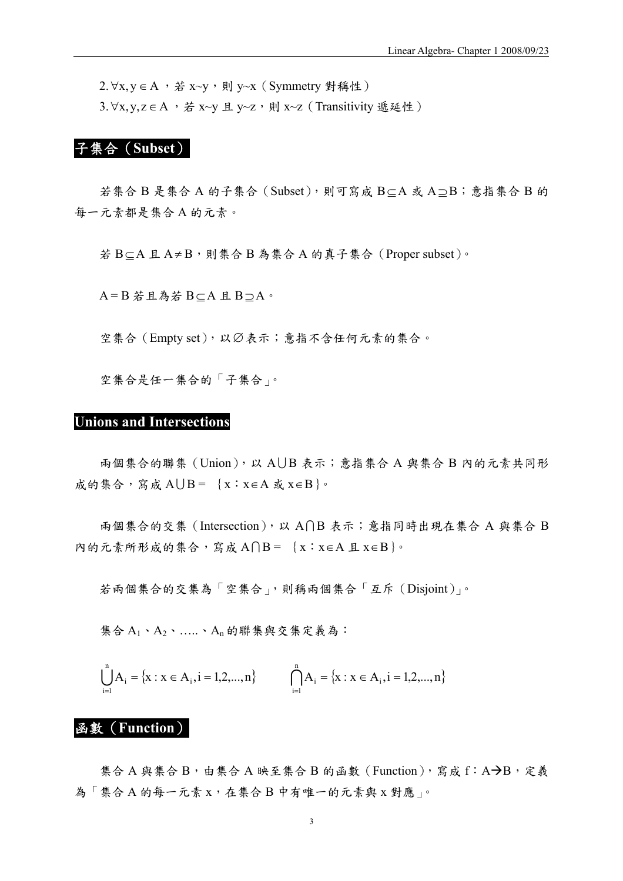2.∀x, y ∈ A , 若 x~y, 則 y~x (Symmetry 對稱性) 3. ∀x, y, z ∈ A , 若 x~y 且 y~z, 則 x~z (Transitivity 遞延性)

# 子集合(**Subset**)

若集合 B 是集合 A 的子集合(Subset),則可寫成 B⊆A 或 A ⊇B;意指集合 B 的 每一元素都是集合 A 的元素。

若 B⊂A 且 A≠B,則集合 B 為集合 A 的真子集合 (Proper subset)。

A = B 若且為若 B⊆A 且 B ⊇A。

空集合(Empty set),以Ø表示;意指不含任何元素的集合。

空集合是任一集合的「子集合」。

#### **Unions and Intersections**

兩個集合的聯集 (Union), 以 AUB 表示; 意指集合 A 與集合 B 內的元素共同形 成的集合,寫成 AUB = {x: x∈A 或 x∈B}。

 $\overline{AB}$  #会的交集 (Intersection), 以 A∩B 表示; 意指同時出現在集合 A 與集合 B 內的元素所形成的集合,寫成 A $\bigcap B = \{x : x \in A \perp x \in B\}$ 。

若兩個集合的交集為「空集合」,則稱兩個集合「互斥(Disjoint)」。

集合 A1、A2、 ……、An 的聯集與交集定義為:

$$
\bigcup_{i=1}^{n} A_{i} = \{x : x \in A_{i}, i = 1, 2, ..., n\} \qquad \bigcap_{i=1}^{n} A_{i} = \{x : x \in A_{i}, i = 1, 2, ..., n\}
$$

# 函數(**Function**)

集合 A 與集合 B,由集合 A 映至集合 B 的函數 (Function), 寫成 f: A→B, 定義 為「集合A的每一元素 x,在集合B中有唯一的元素與 x 對應」。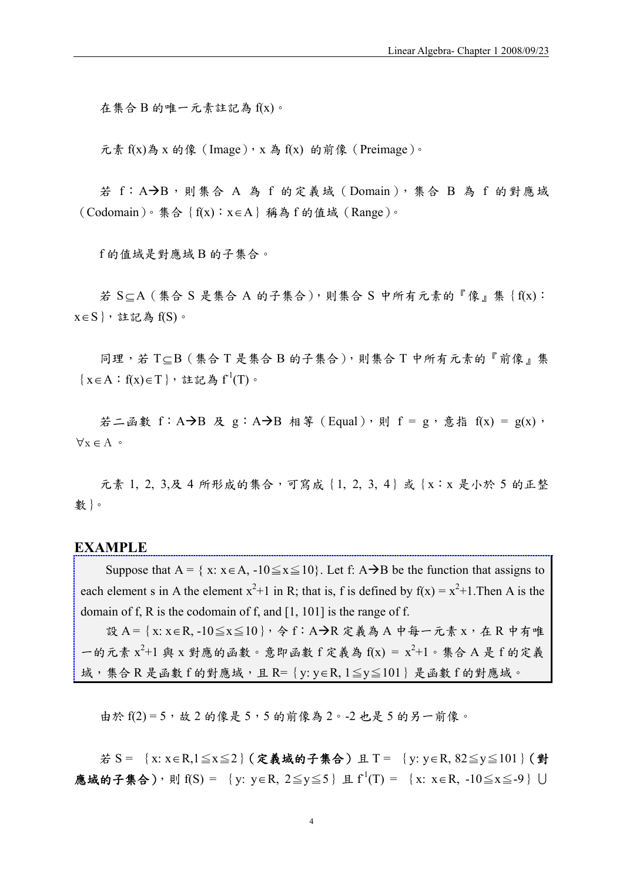在集合 B 的唯一元素註記為 f(x)。

元素 f(x)為 x 的像 (Image), x 為 f(x) 的前像 (Preimage)。

若 f: A→B, 則集合 A 為 f 的定義域 (Domain), 集合 B 為 f 的對應域 (Codomain)。集合{f(x):x∈A}稱為 f 的值域(Range)。

f 的值域是對應域 B 的子集合。

若 S  $subseteq A$  (集合 S 是集合 A 的子集合),則集合 S 中所有元素的『像』集{f(x):  $x ∈ S$ }, 註記為  $f(S)$ 。

同理,若 T⊂B(集合 T 是集合 B 的子集合),則集合 T 中所有元素的『前像』集  $\{x \in A : f(x) \in T\}$ , 註記為  $f^1(T)$ 。

若二函數 f: A  $\rightarrow$ B 及 g: A  $\rightarrow$ B 相等 (Equal), 則 f = g, 意指 f(x) = g(x),  $\forall x \in A$  ∘

元素 1, 2, 3,及 4 所形成的集合,可寫成 {1, 2, 3, 4}或 {x:x 是小於 5 的正整 數}。

### **EXAMPLE**

Suppose that A = { x:  $x \in A$ , -10 $\le x \le 10$ }. Let f: A  $\rightarrow$  B be the function that assigns to each element s in A the element  $x^2+1$  in R; that is, f is defined by  $f(x) = x^2+1$ . Then A is the domain of f, R is the codomain of f, and [1, 101] is the range of f.

設 A = {x: x ∈ R, -10≦x≦10}, 令 f: A → R 定義為 A 中每一元素 x, 在 R 中有唯 一的元素  $x^2+1$ 與 x 對應的函數。意即函數f定義為  $f(x) = x^2+1$ 。集合 A 是f 的定義 域,集合 R 是函數 f 的對應域,且 R={y: y∈R, 1≦y≦101}是函數 f 的對應域。

由於  $f(2) = 5$ ,故 2 的像是 5,5 的前像為 2。-2 也是 5 的另一前像。

若 S = {x: x∈R,1≦x≦2}(定義域的子集合)且 T = {y: y∈R, 82≦y≦101}(對 應域的子集合),則 f(S) = {y: y∈R, 2≦y≦5}且 f<sup>1</sup>(T) = {x: x∈R, -10≦x≦-9}∪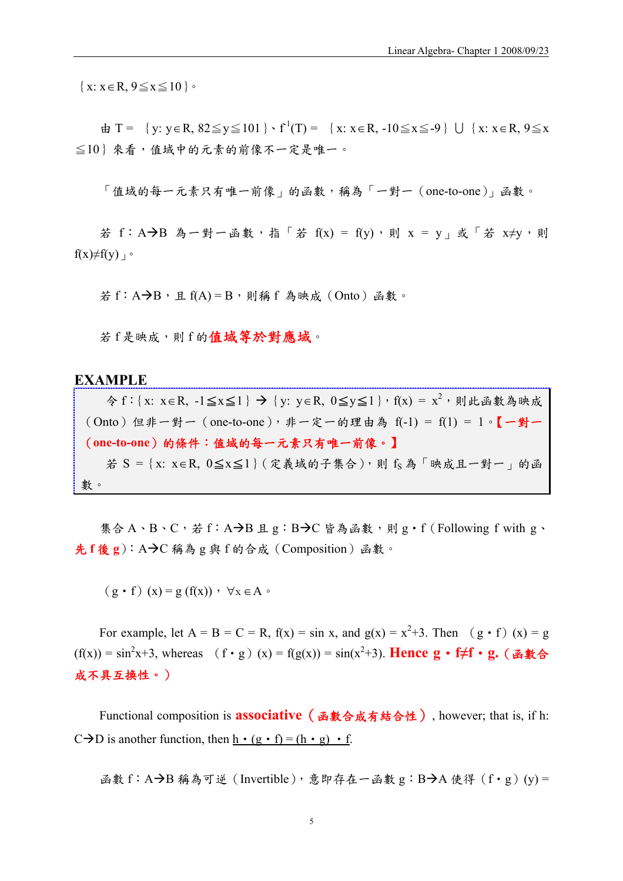$\{x: x \in \mathbb{R}, 9 \leq x \leq 10\}$ 

 $\pm$  T = {y: y ∈ R, 82 ≤ y ≤ 101 }  $\cdot$  f<sup>1</sup>(T) = {x: x ∈ R, -10 ≤ x ≤ -9} U {x: x ∈ R, 9 ≤ x ≦10}來看,值域中的元素的前像不一定是唯一。

「值域的每一元素只有唯一前像」的函數,稱為「一對一(one-to-one)」函數。

若 f: A→B 為一對一函數, 指「若 f(x) = f(y), 則 x = y , 或「若 x≠y, 則  $f(x) \neq f(y)$ 

 $\angle$ 若 f : A→B, 且 f(A) = B, 則稱 f 為映成 (Onto) 函數。

若 f 是映成,則 f 的值域等於對應域。

#### **EXAMPLE**

令 f: {x: x∈R, -1≤x≤1} → {y: y∈R, 0≤y≤1}, f(x) =  $x^{2}$ , 則此函數為映成  $($ Onto) 但非一對一 (one-to-one), 非一定一的理由為  $f(-1) = f(1) = 1 \circ$   $\{- \pm \}$ (**one-to-one**)的條件:值域的每一元素只有唯一前像。】 若 S = {x: x∈R,  $0 \le x \le 1$ } (定義域的子集合),則 fs為「映成且一對一」的函 數。

集合 A、B、C, 若 f: A→B 且 g: B→C 皆為函數,則 g · f (Following f with g、 先 **f** 後 **g**):AÆC 稱為 g 與 f 的合成(Composition)函數。

 $(g \cdot f)(x) = g(f(x))$ ,  $\forall x \in A$ 

For example, let  $A = B = C = R$ ,  $f(x) = \sin x$ , and  $g(x) = x^2 + 3$ . Then  $(g \cdot f)(x) = g$  $(f(x)) = \sin^2 x + 3$ , whereas  $(f \cdot g)(x) = f(g(x)) = \sin(x^2 + 3)$ . **Hence g** • **f≠f** • **g.** (函數合 成不具互換性。)

Functional composition is **associative**(函數合成有結合性), however; that is, if h:  $C\rightarrow D$  is another function, then  $h \cdot (g \cdot f) = (h \cdot g) \cdot f$ .

函數 f: A→B 稱為可逆 (Invertible), 意即存在一函數 g: B→A 使得 (f · g)(y) =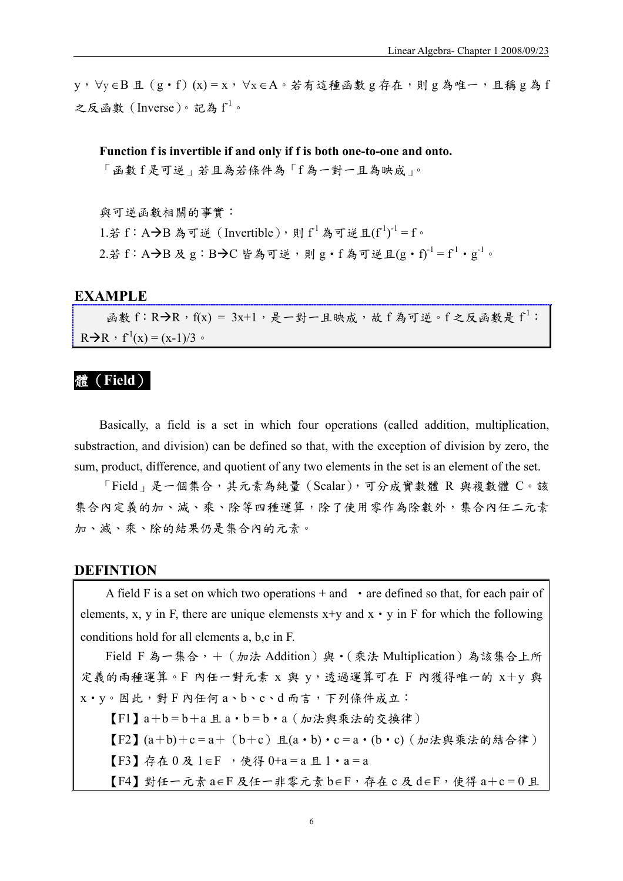y,∀y ∈B 且(g‧f)(x) = x,∀x ∈A。若有這種函數 g 存在,則 g 為唯一,且稱 g 為 f 之反函數 (Inverse)。記為  $f^1$ 。

**Function f is invertible if and only if f is both one-to-one and onto.** 

「函數 f 是可逆」若且為若條件為「f 為一對一且為映成」。

與可逆函數相關的事實: 1.若f: A→B為可逆 (Invertible),則f<sup>1</sup>為可逆且(f<sup>1</sup>)<sup>-1</sup>=f。 2.若 f: A→B 及 g: B→C 皆為可逆,則 g·f 為可逆且(g·f)<sup>-1</sup> = f<sup>1</sup>·g<sup>-1</sup>。

### **EXAMPLE**

 $\text{A}$ 數 f: R→R, f(x) = 3x+1, 是一對一且映成,故 f 為可逆。f 之反函數是 f<sup>1</sup>:  $R\rightarrow R$ ,  $f'(x) = (x-1)/3$ .

### 體(**Field**)

Basically, a field is a set in which four operations (called addition, multiplication, substraction, and division) can be defined so that, with the exception of division by zero, the sum, product, difference, and quotient of any two elements in the set is an element of the set.

「Field」是一個集合,其元素為純量(Scalar),可分成實數體 R 與複數體 C。該 集合內定義的加、減、乘、除等四種運算,除了使用零作為除數外,集合內任二元素 加、減、乘、除的結果仍是集合內的元素。

### **DEFINTION**

A field F is a set on which two operations  $+$  and  $\cdot$  are defined so that, for each pair of elements, x, y in F, there are unique elemensts  $x+y$  and  $x \cdot y$  in F for which the following conditions hold for all elements a, b,c in F.

Field F 為一集合, + (加法 Addition)與·(乘法 Multiplication)為該集合上所 定義的兩種運算。F 內任一對元素 x 與 y,透過運算可在 F 內獲得唯一的 x+y 與 x‧y。因此,對 F 內任何 a、b、c、d 而言,下列條件成立:

 $[F1]$   $a+b=b+a$  且 $a \cdot b=b \cdot a$  (加法與乘法的交換律) 【F2】(a+b)+c = a+(b+c)且(a‧b)‧c = a‧(b‧c)(加法與乘法的結合律) 【F3】存在 0 及 1∈F ,使得 0+a = a 且 1‧a = a 【F4】對任一元素 a∈F 及任一非零元素 b∈F,存在 c 及 d∈F,使得 a+c = 0 且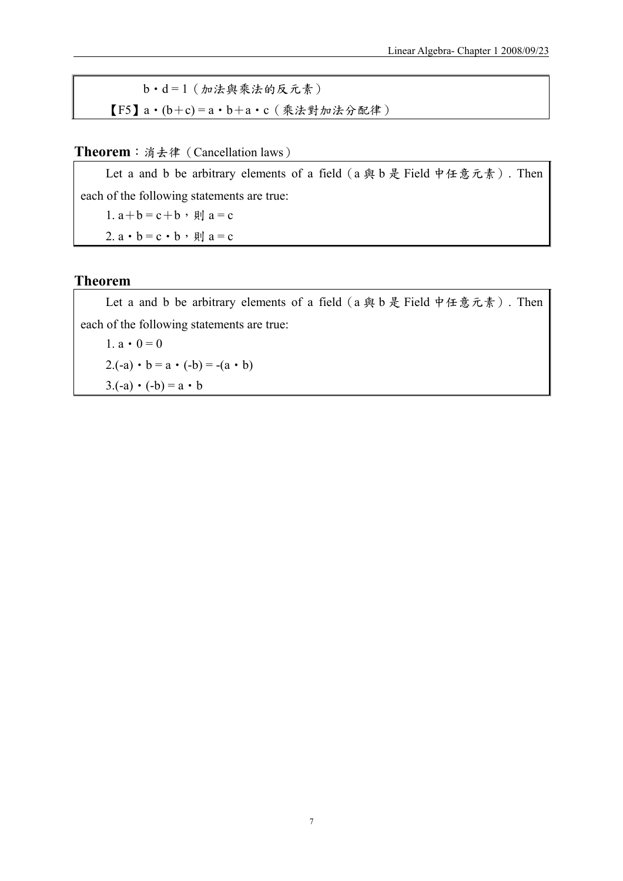b‧d = 1(加法與乘法的反元素)  $[F5]$   $a \cdot (b+c) = a \cdot b+a \cdot c$  (乘法對加法分配律)

### **Theorem**:消去律(Cancellation laws)

Let a and b be arbitrary elements of a field (a 與 b 是 Field 中任意元素). Then each of the following statements are true:

1.  $a + b = c + b$ , 則  $a = c$ 

2.  $a \cdot b = c \cdot b$ , 則  $a = c$ 

### **Theorem**

Let a and b be arbitrary elements of a field  $(a \nleftrightarrow b)$  是 Field 中任意元素). Then each of the following statements are true:

1.  $a \cdot 0 = 0$ 2.(-a)  $\cdot$  b = a  $\cdot$  (-b) = -(a  $\cdot$  b)  $3(-a) \cdot (-b) = a \cdot b$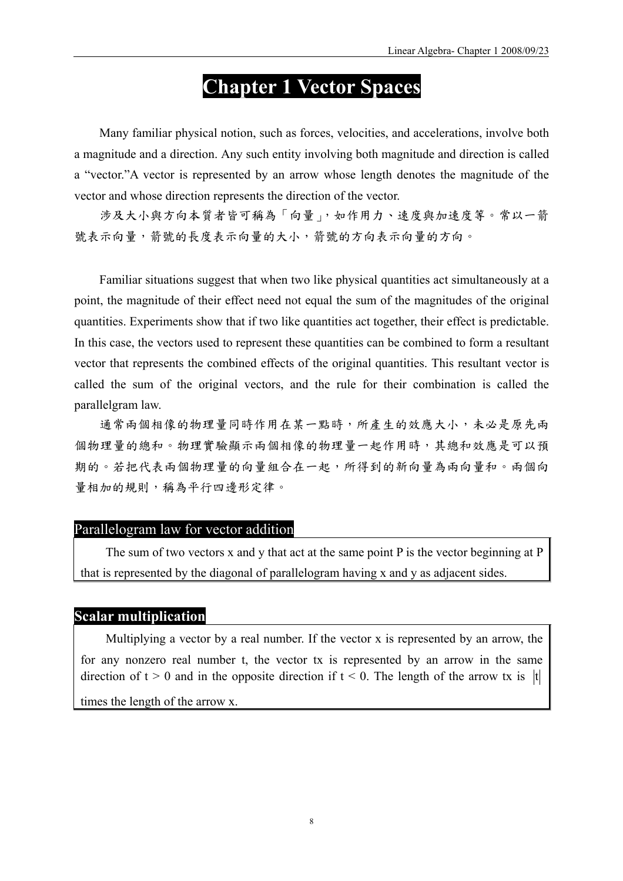# **Chapter 1 Vector Spaces**

Many familiar physical notion, such as forces, velocities, and accelerations, involve both a magnitude and a direction. Any such entity involving both magnitude and direction is called a "vector."A vector is represented by an arrow whose length denotes the magnitude of the vector and whose direction represents the direction of the vector.

涉及大小與方向本質者皆可稱為「向量」,如作用力、速度與加速度等。常以一箭 號表示向量,箭號的長度表示向量的大小,箭號的方向表示向量的方向。

Familiar situations suggest that when two like physical quantities act simultaneously at a point, the magnitude of their effect need not equal the sum of the magnitudes of the original quantities. Experiments show that if two like quantities act together, their effect is predictable. In this case, the vectors used to represent these quantities can be combined to form a resultant vector that represents the combined effects of the original quantities. This resultant vector is called the sum of the original vectors, and the rule for their combination is called the parallelgram law.

通常兩個相像的物理量同時作用在某一點時,所產生的效應大小,未必是原先兩 個物理量的總和。物理實驗顯示兩個相像的物理量一起作用時,其總和效應是可以預 期的。若把代表兩個物理量的向量組合在一起,所得到的新向量為兩向量和。兩個向 量相加的規則,稱為平行四邊形定律。

#### Parallelogram law for vector addition

The sum of two vectors x and y that act at the same point P is the vector beginning at P that is represented by the diagonal of parallelogram having x and y as adjacent sides.

### **Scalar multiplication**

Multiplying a vector by a real number. If the vector x is represented by an arrow, the for any nonzero real number t, the vector tx is represented by an arrow in the same direction of  $t > 0$  and in the opposite direction if  $t < 0$ . The length of the arrow tx is |t| times the length of the arrow x.

8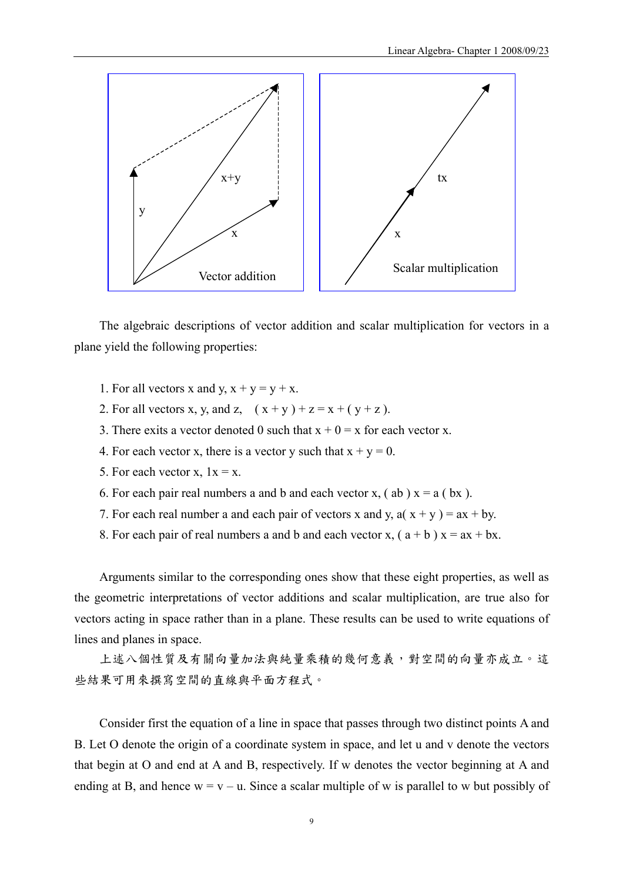

The algebraic descriptions of vector addition and scalar multiplication for vectors in a plane yield the following properties:

- 1. For all vectors x and y,  $x + y = y + x$ .
- 2. For all vectors x, y, and z,  $(x + y) + z = x + (y + z)$ .
- 3. There exits a vector denoted 0 such that  $x + 0 = x$  for each vector x.
- 4. For each vector x, there is a vector y such that  $x + y = 0$ .
- 5. For each vector x,  $1x = x$ .
- 6. For each pair real numbers a and b and each vector x,  $($  ab  $)$  x = a  $($  bx  $)$ .
- 7. For each real number a and each pair of vectors x and y,  $a(x + y) = ax + by$ .
- 8. For each pair of real numbers a and b and each vector x,  $(a + b) x = ax + bx$ .

Arguments similar to the corresponding ones show that these eight properties, as well as the geometric interpretations of vector additions and scalar multiplication, are true also for vectors acting in space rather than in a plane. These results can be used to write equations of lines and planes in space.

上述八個性質及有關向量加法與純量乘積的幾何意義,對空間的向量亦成立。這 些結果可用來撰寫空間的直線與平面方程式。

Consider first the equation of a line in space that passes through two distinct points A and B. Let O denote the origin of a coordinate system in space, and let u and v denote the vectors that begin at O and end at A and B, respectively. If w denotes the vector beginning at A and ending at B, and hence  $w = v - u$ . Since a scalar multiple of w is parallel to w but possibly of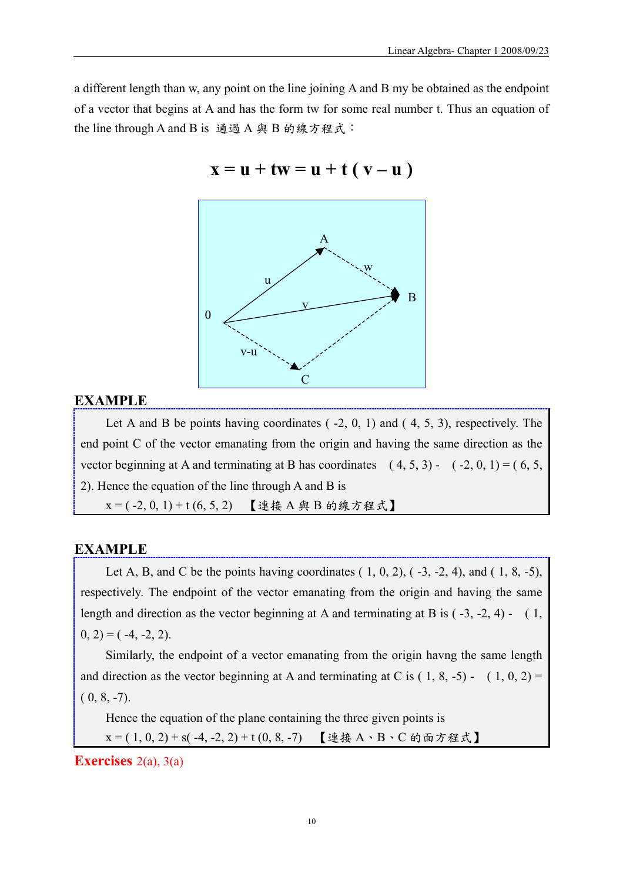a different length than w, any point on the line joining A and B my be obtained as the endpoint of a vector that begins at A and has the form tw for some real number t. Thus an equation of the line through A and B is 通過 A 與 B 的線方程式:



 $x = u + tw = u + t (v - u)$ 

### **EXAMPLE**

Let A and B be points having coordinates  $(-2, 0, 1)$  and  $(4, 5, 3)$ , respectively. The end point C of the vector emanating from the origin and having the same direction as the vector beginning at A and terminating at B has coordinates  $(4, 5, 3)$  -  $(-2, 0, 1) = (6, 5, 1)$ 2). Hence the equation of the line through A and B is  $x = (-2, 0, 1) + t (6, 5, 2)$  【連接 A 與 B 的線方程式】

### **EXAMPLE**

Let A, B, and C be the points having coordinates  $(1, 0, 2)$ ,  $(-3, -2, 4)$ , and  $(1, 8, -5)$ , respectively. The endpoint of the vector emanating from the origin and having the same length and direction as the vector beginning at A and terminating at B is  $(-3, -2, 4)$  -  $(1, 1)$  $(0, 2) = (-4, -2, 2).$ 

Similarly, the endpoint of a vector emanating from the origin havng the same length and direction as the vector beginning at A and terminating at C is  $(1, 8, -5)$  -  $(1, 0, 2)$  =  $(0, 8, -7)$ .

Hence the equation of the plane containing the three given points is  $x = (1, 0, 2) + s(-4, -2, 2) + t(0, 8, -7)$ 【連接A、B、C的面方程式】

**Exercises** 2(a), 3(a)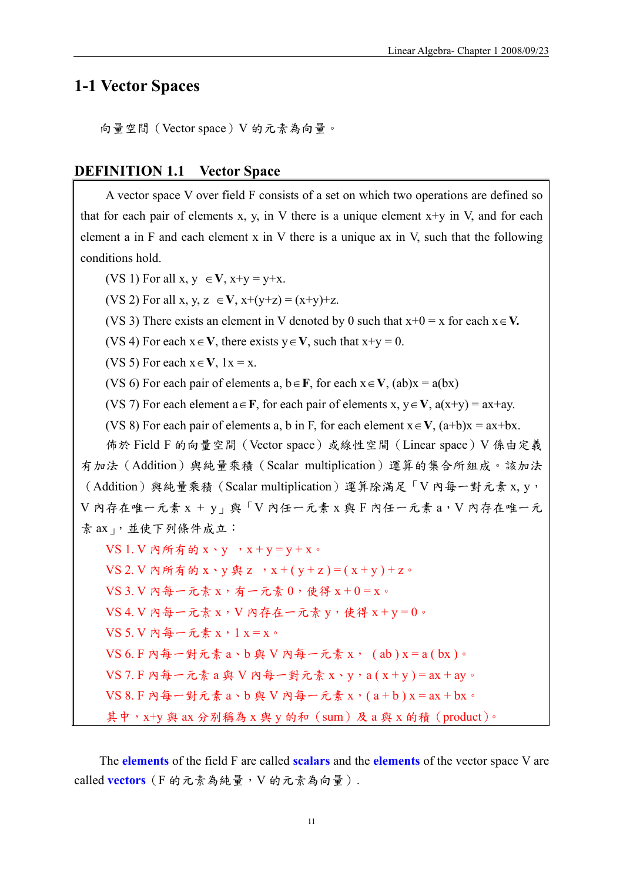# **1-1 Vector Spaces**

向量空間(Vector space)V 的元素為向量。

#### **DEFINITION 1.1 Vector Space**

A vector space V over field F consists of a set on which two operations are defined so that for each pair of elements x, y, in V there is a unique element  $x+y$  in V, and for each element a in F and each element x in V there is a unique ax in V, such that the following conditions hold.

(VS 1) For all  $x, y \in V$ ,  $x+y = y+x$ .

(VS 2) For all x, y, z  $\in$  **V**,  $x+(y+z) = (x+y)+z$ .

(VS 3) There exists an element in V denoted by 0 such that x+0 = x for each x∈**V.** 

(VS 4) For each  $x \in V$ , there exists  $y \in V$ , such that  $x+y = 0$ .

(VS 5) For each  $x \in V$ ,  $1x = x$ .

(VS 6) For each pair of elements a,  $b \in F$ , for each  $x \in V$ , (ab) $x = a(bx)$ 

(VS 7) For each element  $a \in \mathbf{F}$ , for each pair of elements x,  $y \in \mathbf{V}$ ,  $a(x+y) = ax+ay$ .

(VS 8) For each pair of elements a, b in F, for each element  $x \in V$ ,  $(a+b)x = ax+bx$ .

佈於 Field F 的向量空間(Vector space)或線性空間(Linear space)V 係由定義 有加法(Addition)與純量乘積(Scalar multiplication)運算的集合所組成。該加法 (Addition)與純量乘積(Scalar multiplication)運算除滿足「V 內每一對元素 x, y, V 內存在唯一元素 x + y」與「V 內任一元素 x 與 F 內任一元素 a,V 內存在唯一元 素 ax」,並使下列條件成立:  $VS$  1.  $V$  內所有的  $x \cdot v$  ,  $x + v = v + x$ 。

 $VS$  2. V 內所有的  $x \cdot y$  與 z ,  $x + (y + z) = (x + y) + z$ 。

 $VS$  3.  $V$  內每一元素  $x$ , 有一元素  $0$ , 使得  $x + 0 = x$ 。

 $VS$  4. V 内每一元素 x, V 内存在一元素 y,使得 x + y = 0。

VS 5. V 內每一元素 x,1 x = x。

 $VS$  6. F 内每一對元素  $a \cdot b$  與 V 内每一元素  $x \cdot (ab) x = a(bx) \cdot$ 

 $VS$  7. F 内每一元素 a 與 V 內每一對元素 x、y,a ( x + y ) = ax + ay。

 $VS$   $8.$  F 内每一對元素  $a \cdot b$  與  $V$  内每一元素  $x \cdot (a + b)$   $x = ax + bx$ 。

其中, x+y 與 ax 分別稱為 x 與 y 的和 (sum)及 a 與 x 的積 (product)。

The **elements** of the field F are called **scalars** and the **elements** of the vector space V are called **vectors**(F 的元素為純量,V 的元素為向量).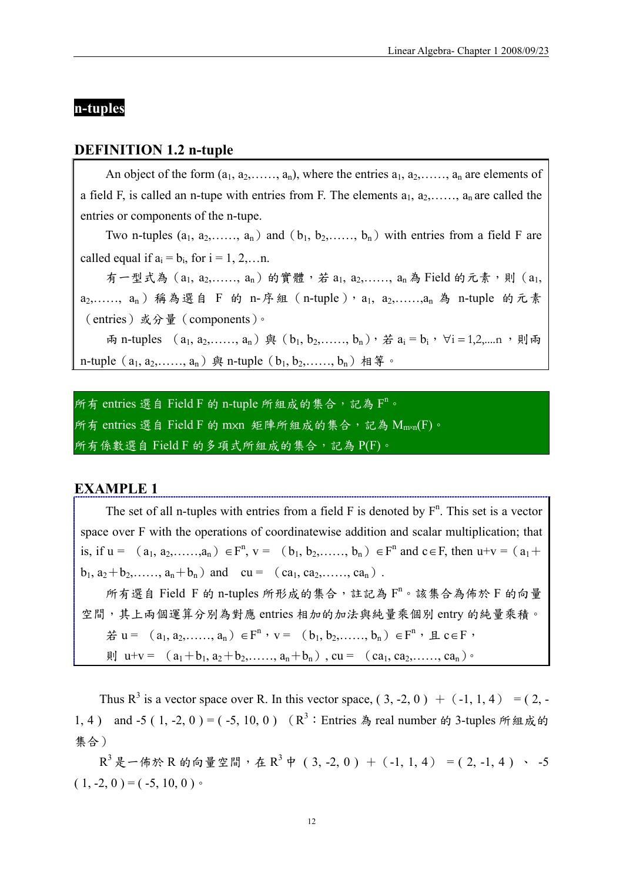# **n-tuples**

#### **DEFINITION 1.2 n-tuple**

An object of the form  $(a_1, a_2, \ldots, a_n)$ , where the entries  $a_1, a_2, \ldots, a_n$  are elements of a field F, is called an n-tupe with entries from F. The elements  $a_1, a_2, \ldots, a_n$  are called the entries or components of the n-tupe.

Two n-tuples  $(a_1, a_2, \ldots, a_n)$  and  $(b_1, b_2, \ldots, b_n)$  with entries from a field F are called equal if  $a_i = b_i$ , for  $i = 1, 2, \dots n$ .

有一型式為  $(a_1, a_2, \ldots, a_n)$  的實體,若  $a_1, a_2, \ldots, a_n$ 為 Field 的元素,則 $(a_1, a_2, \ldots, a_n)$ a<sub>2</sub>,……, a<sub>n</sub>)稱為選自 F 的 n-序組 (n-tuple), a<sub>1</sub>, a<sub>2</sub>,……,a<sub>n</sub> 為 n-tuple 的元素 (entries)或分量(components)。

雨 n-tuples  $(a_1, a_2, \ldots, a_n)$  與  $(b_1, b_2, \ldots, b_n)$ , 若  $a_i = b_i$ ,  $\forall i = 1, 2, \ldots, n$ , 則兩 n-tuple  $(a_1, a_2, \ldots, a_n)$  與 n-tuple  $(b_1, b_2, \ldots, b_n)$  相等。

所有 entries 選自 Field F 的 n-tuple 所組成的集合,記為  $F^n$ 。 所有 entries 選自 Field F 的 mxn 矩陣所組成的集合,記為  $\overline{\mathrm{M}}_{\mathrm{m}\text{-}\mathrm{m}}(\mathrm{F})$ 。 所有係數選自 Field F 的多項式所組成的集合,記為 P(F)。

#### **EXAMPLE 1**

The set of all n-tuples with entries from a field  $F$  is denoted by  $F<sup>n</sup>$ . This set is a vector space over F with the operations of coordinatewise addition and scalar multiplication; that is, if  $u = (a_1, a_2, \ldots, a_n) \in F^n$ ,  $v = (b_1, b_2, \ldots, b_n) \in F^n$  and  $c \in F$ , then  $u+v = (a_1 + b_2, \ldots, a_n)$  $b_1, a_2+b_2, \ldots, a_n+b_n$  and  $cu = (ca_1, ca_2, \ldots, ca_n)$ . 所有選自 Field F 的 n-tuples 所形成的集合,註記為  $F^n \circ$  該集合為佈於 F 的向量 空間,其上兩個運算分別為對應 entries 相加的加法與純量乘個別 entry 的純量乘積。 若 u = (a<sub>1</sub>, a<sub>2</sub>,……, a<sub>n</sub>)∈ F<sup>n</sup>, v = (b<sub>1</sub>, b<sub>2</sub>,……, b<sub>n</sub>)∈ F<sup>n</sup>, 且 c ∈ F, 則 u+v =  $(a_1+b_1, a_2+b_2, \ldots, a_n+b_n)$ , cu =  $(ca_1, ca_2, \ldots, ca_n)$ 。

Thus R<sup>3</sup> is a vector space over R. In this vector space,  $(3, -2, 0) + (-1, 1, 4) = (2, -1, 1)$ 1, 4) and -5 (1, -2, 0) = (-5, 10, 0) ( $R^3$ : Entries 為 real number 的 3-tuples 所組成的 集合)

 $R^{3}$ 是一佈於 R 的向量空間, 在  $R^{3}$ 中 (3, -2, 0) + (-1, 1, 4) = (2, -1, 4) 、 -5  $(1, -2, 0) = (-5, 10, 0)$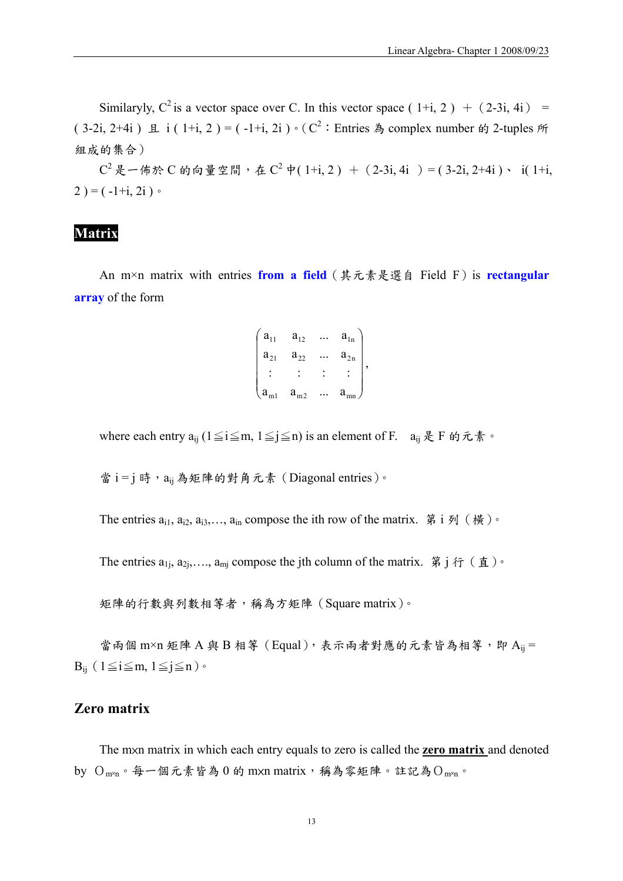Similaryly,  $C^2$  is a vector space over C. In this vector space (1+i, 2) + (2-3i, 4i) = ( 3-2i, 2+4i )  $\pm i$  ( 1+i, 2 ) = ( -1+i, 2i )  $\cdot$  ( C<sup>2</sup> : Entries  $\frac{a}{r}$  complex number  $\frac{a}{r}$  2-tuples  $\frac{r}{r}$ 組成的集合)

 $C^2$ 是一佈於  $C$  的向量空間, 在  $C^2$  中( 1+i, 2) + ( 2-3i, 4i ) = ( 3-2i, 2+4i )、 i( 1+i,  $2$ ) = ( $-1+i$ , 2i)  $\circ$ 

# **Matrix**

An m×n matrix with entries **from a field**(其元素是選自 Field F)is **rectangular array** of the form

$$
\begin{pmatrix} a_{11} & a_{12} & \dots & a_{1n} \\ a_{21} & a_{22} & \dots & a_{2n} \\ \vdots & \vdots & \vdots & \vdots \\ a_{m1} & a_{m2} & \dots & a_{mn} \end{pmatrix},
$$

where each entry  $a_{ij}$  (1≤i≤m, 1≤j≤n) is an element of F.  $a_{ij}$ 是 F 的元素。

當 i = j 時, aij 為矩陣的對角元素 (Diagonal entries)。

The entries  $a_{i1}$ ,  $a_{i2}$ ,  $a_{i3}$ ,...,  $a_{in}$  compose the ith row of the matrix. 第 i 列 (橫)。

The entries  $a_{1i}$ ,  $a_{2i}$ ,...,  $a_{mi}$  compose the jth column of the matrix. 第 j 行(直)。

矩陣的行數與列數相等者,稱為方矩陣(Square matrix)。

當兩個 m×n 矩陣 A 與 B 相等 (Equal),表示兩者對應的元素皆為相等,即 Aij =  $B_{ii}$  (1  $\leq i \leq m$ , 1  $\leq j \leq n$ ) •

### **Zero matrix**

The m×n matrix in which each entry equals to zero is called the **zero matrix** and denoted by  $O_{myn}$ 。每一個元素皆為 0 的 mxn matrix,稱為零矩陣。註記為 $O_{myn}$ 。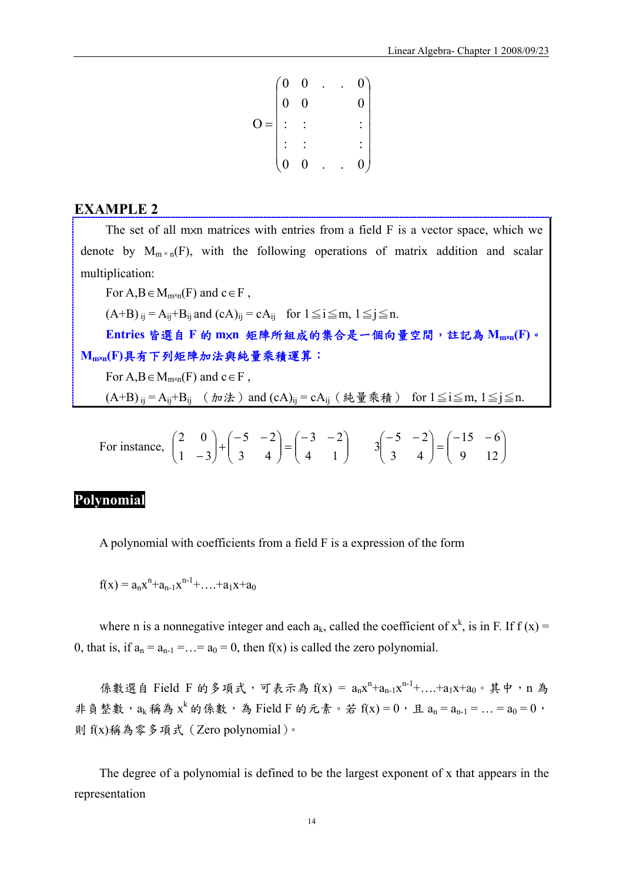$$
O = \begin{pmatrix} 0 & 0 & . & . & 0 \\ 0 & 0 & & & 0 \\ . & . & & & \vdots \\ . & . & & & \vdots \\ 0 & 0 & . & . & 0 \end{pmatrix}
$$

### **EXAMPLE 2**

The set of all mxn matrices with entries from a field F is a vector space, which we denote by  $M_{m \times n}(F)$ , with the following operations of matrix addition and scalar multiplication:

For  $A, B \in M_{m \times n}(F)$  and  $c \in F$ ,  $(A+B)_{ij} = A_{ij} + B_{ij}$  and  $(cA)_{ii} = cA_{ii}$  for  $1 \le i \le m$ ,  $1 \le i \le n$ . **Entries** 皆選自 **F** 的 **m**×**n** 矩陣所組成的集合是一個向量空間,註記為 **Mm**×**n(F)**。 **Mm**×**n(F)**具有下列矩陣加法與純量乘積運算: For  $A, B \in M_{m \times n}(F)$  and  $c \in F$ ,  $(A+B)_{ij} = A_{ij} + B_{ij}$  (加法) and  $(cA)_{ij} = cA_{ij}$  (純量乘積) for  $1 \leq i \leq m$ ,  $1 \leq j \leq n$ .

For instance, 
$$
\begin{pmatrix} 2 & 0 \\ 1 & -3 \end{pmatrix} + \begin{pmatrix} -5 & -2 \\ 3 & 4 \end{pmatrix} = \begin{pmatrix} -3 & -2 \\ 4 & 1 \end{pmatrix}
$$
  $3\begin{pmatrix} -5 & -2 \\ 3 & 4 \end{pmatrix} = \begin{pmatrix} -15 & -6 \\ 9 & 12 \end{pmatrix}$ 

#### **Polynomial**

A polynomial with coefficients from a field F is a expression of the form

 $f(x) = a_n x^n + a_{n-1} x^{n-1} + \dots + a_1 x + a_0$ 

where n is a nonnegative integer and each  $a_k$ , called the coefficient of  $x^k$ , is in F. If  $f(x) =$ 0, that is, if  $a_n = a_{n-1} = ... = a_0 = 0$ , then  $f(x)$  is called the zero polynomial.

係數選自 Field F 的多項式,可表示為 f(x) = anx<sup>n+</sup>an-1x<sup>n-1+</sup>....+a1x+a0。其中, n 為 非負整數, $a_k$ 稱為 $x^k$ 的係數,為Field F 的元素。若 $f(x) = 0$ ,且 $a_n = a_{n-1} = ... = a_0 = 0$ , 則 f(x)稱為零多項式(Zero polynomial)。

The degree of a polynomial is defined to be the largest exponent of x that appears in the representation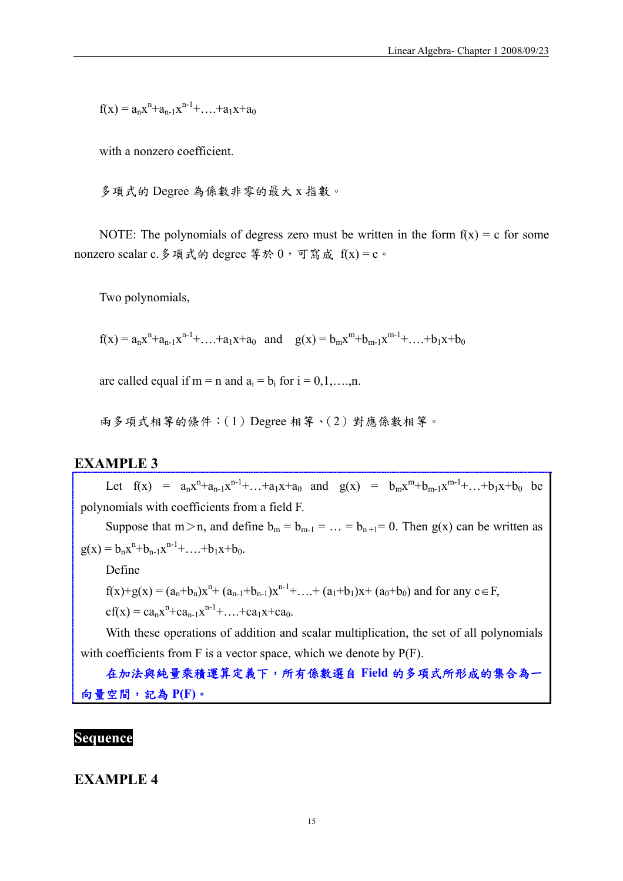$f(x) = a_n x^n + a_{n-1} x^{n-1} + \dots + a_1 x + a_0$ 

with a nonzero coefficient.

多項式的 Degree 為係數非零的最大 x 指數。

NOTE: The polynomials of degress zero must be written in the form  $f(x) = c$  for some nonzero scalar c. 多項式的 degree 等於  $0$ , 可寫成  $f(x) = c$ 。

Two polynomials,

 $f(x) = a_n x^n + a_{n-1} x^{n-1} + \dots + a_1 x + a_0$  and  $g(x) = b_m x^m + b_{m-1} x^{m-1} + \dots + b_1 x + b_0$ 

are called equal if m = n and  $a_i = b_i$  for  $i = 0,1,...,n$ .

兩多項式相等的條件:(1)Degree 相等、(2)對應係數相等。

### **EXAMPLE 3**

Let  $f(x) = a_n x^n + a_{n-1} x^{n-1} + ... + a_1 x + a_0$  and  $g(x) = b_m x^m + b_{m-1} x^{m-1} + ... + b_1 x + b_0$  be polynomials with coefficients from a field F. Suppose that  $m > n$ , and define  $b_m = b_{m-1} = ... = b_{n+1} = 0$ . Then  $g(x)$  can be written as  $g(x) = b_n x^n + b_{n-1} x^{n-1} + \dots + b_1 x + b_0.$ 

Define

 $f(x)+g(x) = (a_n+b_n)x^n + (a_{n-1}+b_{n-1})x^{n-1} + \ldots + (a_1+b_1)x + (a_0+b_0)$  and for any  $c \in F$ ,

 $cf(x) = ca_n x^n + ca_{n-1}x^{n-1} + \dots + ca_1x + ca_0.$ 

With these operations of addition and scalar multiplication, the set of all polynomials with coefficients from F is a vector space, which we denote by  $P(F)$ .

在加法與純量乘積運算定義下,所有係數選自 **Field** 的多項式所形成的集合為一 向量空間,記為 **P(F)**。

### **Sequence**

**EXAMPLE 4**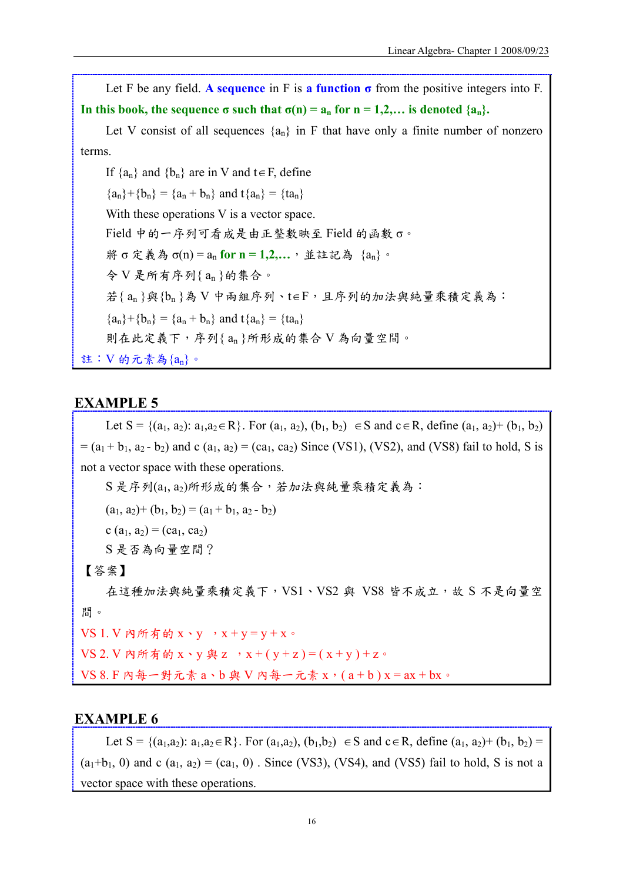Let F be any field. A **sequence** in F is a function  $\sigma$  from the positive integers into F. In this book, the sequence  $\sigma$  such that  $\sigma(n) = a_n$  for  $n = 1,2,...$  is denoted  $\{a_n\}$ .

Let V consist of all sequences  ${a_n}$  in F that have only a finite number of nonzero terms.

If  $\{a_n\}$  and  $\{b_n\}$  are in V and t∈F, define  ${a_n}+{b_n} = {a_n + b_n}$  and  ${a_n} = {ta_n}$ With these operations V is a vector space. Field 中的一序列可看成是由正整數映至 Field 的函數 σ。 將 σ 定義為 σ(n) = an **for n = 1,2,…**,並註記為 {an}。 令 V 是所有序列{ an }的集合。 若{ an }與{bn }為 V 中兩組序列、t∈F,且序列的加法與純量乘積定義為:  ${a_n}+{b_n} = {a_n + b_n}$  and  ${a_n} = {ta_n}$ 則在此定義下,序列{ an }所形成的集合 V 為向量空間。 註:V 的元素為{an}。

### **EXAMPLE 5**

Let  $S = \{(a_1, a_2): a_1, a_2 \in \mathbb{R}\}$ . For  $(a_1, a_2)$ ,  $(b_1, b_2) \in S$  and  $c \in \mathbb{R}$ , define  $(a_1, a_2)$ +  $(b_1, b_2)$  $= (a_1 + b_1, a_2 - b_2)$  and c  $(a_1, a_2) = (ca_1, ca_2)$  Since (VS1), (VS2), and (VS8) fail to hold, S is not a vector space with these operations.

S 是序列(a1, a2)所形成的集合,若加法與純量乘積定義為:

 $(a_1, a_2) + (b_1, b_2) = (a_1 + b_1, a_2 - b_2)$ 

c (a<sub>1</sub>, a<sub>2</sub>) = (ca<sub>1</sub>, ca<sub>2</sub>)

S 是否為向量空間?

【答案】

在這種加法與純量乘積定義下,VS1、VS2與 VS8 皆不成立,故 S 不是向量空 間。

 $VS$  1.  $V$  內所有的  $x \cdot y \cdot x + y = y + x$ 。

 $VS$  2. V 內所有的  $x \cdot y$  與 z ,  $x + (y + z) = (x + y) + z$ 。

 $VS 8.F R$  有一對元素  $a \cdot b$  與  $V R + \overline{C} \cdot \overline{C}$   $x \cdot (a + b)$   $x = ax + bx$ 。

### **EXAMPLE 6**

Let S = {(a<sub>1</sub>,a<sub>2</sub>): a<sub>1</sub>,a<sub>2</sub>∈R}. For (a<sub>1</sub>,a<sub>2</sub>), (b<sub>1</sub>,b<sub>2</sub>) ∈ S and c ∈ R, define (a<sub>1</sub>, a<sub>2</sub>)+ (b<sub>1</sub>, b<sub>2</sub>) =  $(a_1+b_1, 0)$  and c  $(a_1, a_2) = (ca_1, 0)$ . Since (VS3), (VS4), and (VS5) fail to hold, S is not a vector space with these operations.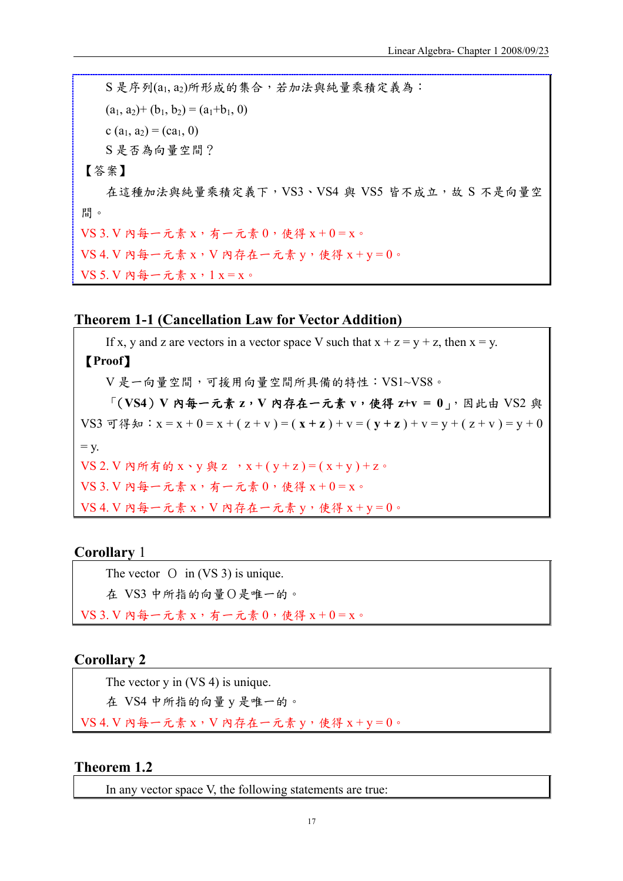$S \not\in F$ 列 $(a_1, a_2)$ 所形成的集合,若加法與純量乘積定義為:  $(a_1, a_2)+(b_1, b_2)=(a_1+b_1, 0)$ c  $(a_1, a_2) = (ca_1, 0)$ S 是否為向量空間? 【答案】 在這種加法與純量乘積定義下,VS3、VS4與 VS5 皆不成立,故 S 不是向量空 間。  $VS$  3.  $V$  內每一元素  $x$ , 有一元素  $0$ , 使得  $x+0=x$ 。  $VS$  4. V 内每一元素 x, V 内存在一元素 y,使得 x + y = 0。

VS 5. V 內每一元素 x,1 x = x。

### **Theorem 1-1 (Cancellation Law for Vector Addition)**

If x, y and z are vectors in a vector space V such that  $x + z = y + z$ , then  $x = y$ . 【**Proof**】 V 是一向量空間,可援用向量空間所具備的特性:VS1~VS8。 「(**VS4**)**V** 內每一元素 **z**,**V** 內存在一元素 **v**,使得 **z+v = 0**」,因此由 VS2 與 VS3 可得知:  $x = x + 0 = x + (z + v) = (x + z) + v = (y + z) + v = y + (z + v) = y + 0$  $=$  y.  $VS$  2. V 內所有的  $x \cdot y$  與 z ,  $x + (y + z) = (x + y) + z$ 。  $VS$  3.  $V$  內每一元素  $x$ , 有一元素  $0$ , 使得  $x+0=x$ 。  $VS$  4. V 內每一元素 x, V 內存在一元素 y,使得 x + y = 0。

### **Corollary** 1

The vector O in (VS 3) is unique.

在 VS3 中所指的向量O是唯一的。

 $VS$  3.  $V$  內每一元素  $x$ , 有一元素  $0$ , 使得  $x+0=x$ 。

# **Corollary 2**

The vector y in (VS 4) is unique.

在 VS4 中所指的向量 y 是唯一的。

 $VS$  4. V 内每一元素 x, V 内存在一元素 y, 使得 x + y = 0。

### **Theorem 1.2**

In any vector space V, the following statements are true: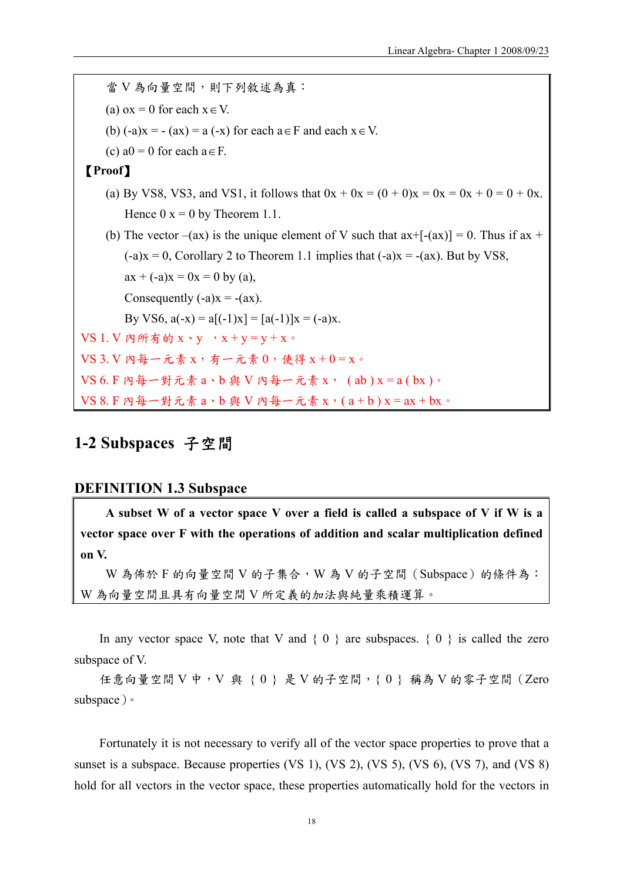當 V 為向量空間,則下列敘述為真: (a)  $\alpha x = 0$  for each  $x \in V$ . (b)  $(-a)x = -(ax) = a(-x)$  for each  $a \in F$  and each  $x \in V$ . (c)  $a0 = 0$  for each  $a \in F$ . 【**Proof**】 (a) By VS8, VS3, and VS1, it follows that  $0x + 0x = (0 + 0)x = 0x + 0 = 0 + 0x$ . Hence  $0 \times 0 = 0$  by Theorem 1.1. (b) The vector  $-(ax)$  is the unique element of V such that  $ax+[-(ax)] = 0$ . Thus if  $ax +$  $(-a)x = 0$ , Corollary 2 to Theorem 1.1 implies that  $(-a)x = -(ax)$ . But by VS8,  $ax + (-a)x = 0x = 0$  by (a), Consequently  $(-a)x = -(ax)$ . By VS6,  $a(-x) = a((-1)x) = [a(-1)]x = (-a)x$ .  $VS$  1.  $V$  內所有的  $x \cdot v$  ,  $x + v = v + x$ 。  $VS$  3. V 内每一元素 x, 有一元素  $0$ , 使得  $x + 0 = x$ 。  $VS$  6. F 内每一對元素  $a \cdot b$  與 V 内每一元素  $x \cdot (ab) x = a(bx) \cdot$  $VS 8. F$  內每一對元素  $a \cdot b$  與 V 內每一元素  $x \cdot (a + b)$   $x = ax + bx \cdot$ 

# **1-2 Subspaces** 子空間

### **DEFINITION 1.3 Subspace**

**A subset W of a vector space V over a field is called a subspace of V if W is a vector space over F with the operations of addition and scalar multiplication defined on V.** 

 $W$  為佈於 F 的向量空間 V 的子集合, W 為 V 的子空間 (Subspace) 的條件為: W 為向量空間且具有向量空間 V 所定義的加法與純量乘積運算。

In any vector space V, note that V and  $\{0\}$  are subspaces.  $\{0\}$  is called the zero subspace of V.

任意向量空間 V 中, V 與 { 0 } 是 V 的子空間, { 0 } 稱為 V 的零子空間 (Zero subspace)。

Fortunately it is not necessary to verify all of the vector space properties to prove that a sunset is a subspace. Because properties (VS 1), (VS 2), (VS 5), (VS 6), (VS 7), and (VS 8) hold for all vectors in the vector space, these properties automatically hold for the vectors in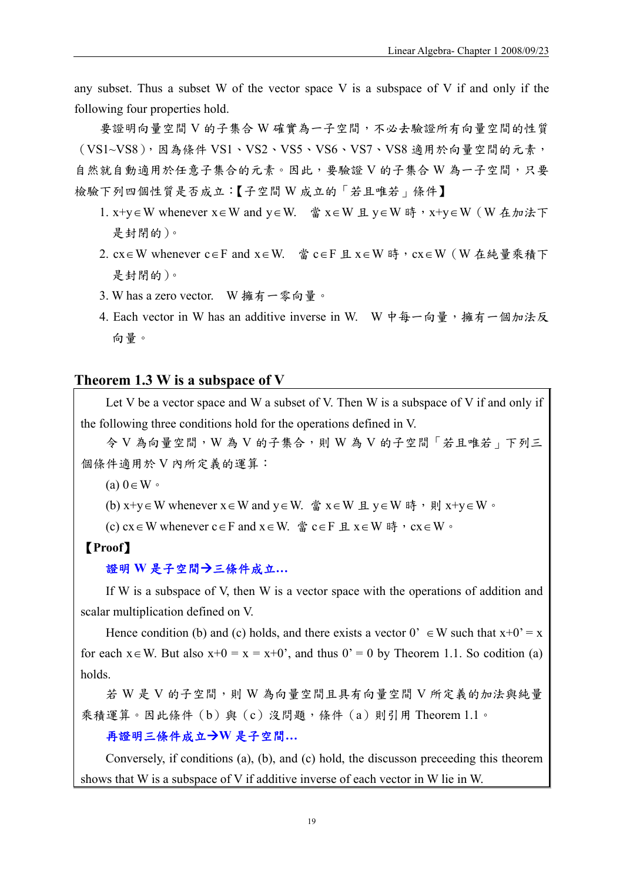any subset. Thus a subset W of the vector space V is a subspace of V if and only if the following four properties hold.

要證明向量空間 V 的子集合 W 確實為一子空間,不必去驗證所有向量空間的性質 (VS1~VS8),因為條件 VS1、VS2、VS5、VS6、VS7、VS8 適用於向量空間的元素, 自然就自動適用於任意子集合的元素。因此,要驗證 V 的子集合 W 為一子空間,只要 檢驗下列四個性質是否成立:【子空間 W 成立的「若且唯若」條件】

- 1. x+y∈W whenever x∈W and y∈W. 當 x∈W 且 y∈W 時, x+y∈W (W 在加法下 是封閉的)。
- 2. cx∈W whenever c∈F and x∈W. 當 c∈F 且 x∈W 時, cx∈W (W 在純量乘積下 是封閉的)。
- 3. W has a zero vector. W 擁有一零向量。
- 4. Each vector in W has an additive inverse in W. W 中每一向量,擁有一個加法反 向量。

### **Theorem 1.3 W is a subspace of V**

Let V be a vector space and W a subset of V. Then W is a subspace of V if and only if the following three conditions hold for the operations defined in V.

令 V 為向量空間,W 為 V 的子集合,則 W 為 V 的子空間「若且唯若」下列三 個條件適用於 V 內所定義的運算:

 $(a)$  0 $\in$  W  $\circ$ 

(b)  $x+y \in W$  whenever  $x \in W$  and  $y \in W$ . 當  $x \in W$  且  $y \in W$  時, 則  $x+y \in W$ .

(c) cx∈W whenever c∈F and  $x \in W$ . 當 c∈F 且  $x \in W$  時,  $cx \in W$ .

### 【**Proof**】

### 證明 W 是子空間→三條件成立...

If W is a subspace of V, then W is a vector space with the operations of addition and scalar multiplication defined on V.

Hence condition (b) and (c) holds, and there exists a vector  $0' \in W$  such that  $x+0' = x$ for each  $x \in W$ . But also  $x+0 = x = x+0'$ , and thus  $0' = 0$  by Theorem 1.1. So codition (a) holds.

若 W 是 V 的子空間,則 W 為向量空間且具有向量空間 V 所定義的加法與純量 乘積運算。因此條件(b)與(c)沒問題,條件(a)則引用 Theorem 1.1。

#### **再證明三條件成立→W 是子空間…**

Conversely, if conditions (a), (b), and (c) hold, the discusson preceeding this theorem shows that W is a subspace of V if additive inverse of each vector in W lie in W.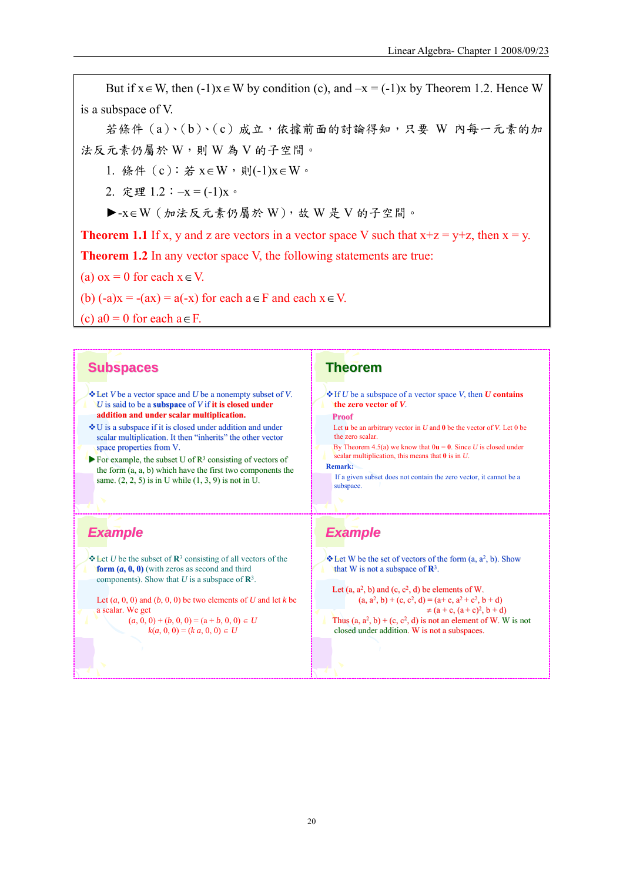But if  $x \in W$ , then  $(-1)x \in W$  by condition (c), and  $-x = (-1)x$  by Theorem 1.2. Hence W is a subspace of V.

若條件 (a)、(b)、(c) 成立, 依據前面的討論得知, 只要 W 內每一元素的加 法反元素仍屬於 W,則 W 為 V 的子空間。

1. 條件 (c):若 x∈W,則(-1)x∈W。

2. 定理 1.2:–x = (-1)x。

►-x∈W(加法反元素仍屬於 W),故 W 是 V 的子空間。

**Theorem 1.1** If x, y and z are vectors in a vector space V such that  $x+z = y+z$ , then  $x = y$ .

**Theorem 1.2** In any vector space V, the following statements are true:

(a)  $\alpha x = 0$  for each  $x \in V$ .

(b)  $(-a)x = -(ax) = a(-x)$  for each  $a \in F$  and each  $x \in V$ .

(c)  $a0 = 0$  for each  $a \in F$ .

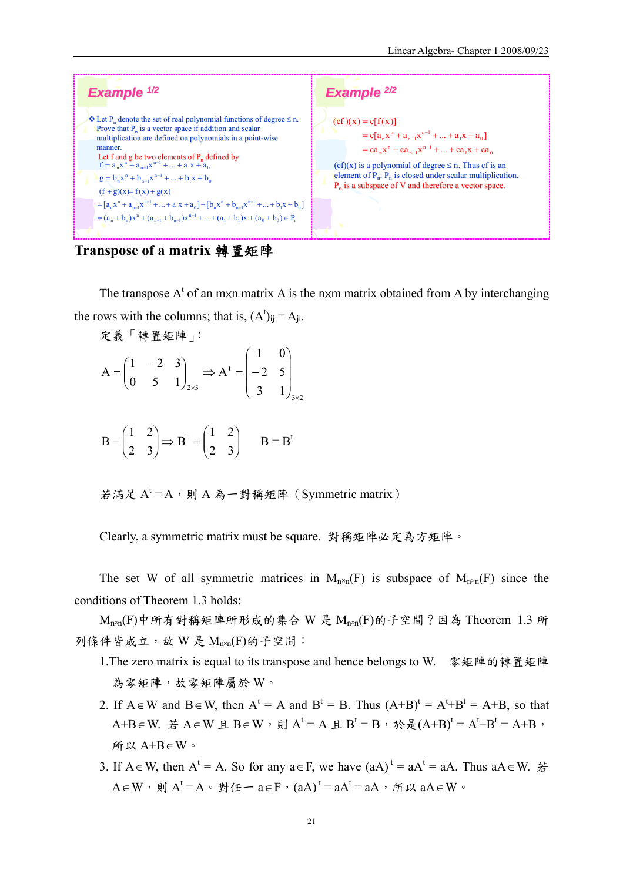

**Transpose of a matrix** 轉置矩陣

The transpose  $A^t$  of an mxn matrix A is the nxm matrix obtained from A by interchanging the rows with the columns; that is,  $(A^t)_{ij} = A_{ji}$ .

$$
\mathcal{R} \stackrel{\text{def}}{=} \begin{pmatrix} 1 & -2 & 3 \\ 0 & 5 & 1 \end{pmatrix}_{2 \times 3} \Rightarrow A^t = \begin{pmatrix} 1 & 0 \\ -2 & 5 \\ 3 & 1 \end{pmatrix}_{3 \times 2}
$$

$$
B = \begin{pmatrix} 1 & 2 \\ 2 & 3 \end{pmatrix} \Rightarrow B^t = \begin{pmatrix} 1 & 2 \\ 2 & 3 \end{pmatrix} \qquad B = B^t
$$

若滿足 $A^t$ =A,則A為一對稱矩陣 (Symmetric matrix)

Clearly, a symmetric matrix must be square. 對稱矩陣必定為方矩陣。

The set W of all symmetric matrices in  $M_{n\times n}(F)$  is subspace of  $M_{n\times n}(F)$  since the conditions of Theorem 1.3 holds:

 $M_{n \times n}(F)$ 中所有對稱矩陣所形成的集合 W 是  $M_{n \times n}(F)$ 的子空間?因為 Theorem 1.3 所 列條件皆成立,故 W 是 Mnxn(F)的子空間:

- 1.The zero matrix is equal to its transpose and hence belongs to W. 零矩陣的轉置矩陣 為零矩陣,故零矩陣屬於 W。
- 2. If  $A \in W$  and  $B \in W$ , then  $A^t = A$  and  $B^t = B$ . Thus  $(A+B)^t = A^t + B^t = A+B$ , so that A+B∈W. 若 A∈W 且 B∈W,則 A<sup>t</sup> = A 且 B<sup>t</sup> = B,於是(A+B)<sup>t</sup> = A<sup>t</sup>+B<sup>t</sup> = A+B, 所以 A+B∈W。
- 3. If A ∈ W, then A<sup>t</sup> = A. So for any  $a \in F$ , we have  $(aA)^t = aA^t = aA$ . Thus  $aA \in W$ .  $\#$  $A\!\in\! W$ ,則  $A^t\!=\!A$ 。對任一  $a\!\in\!F$ , $(aA)^t\!=\!aA^t\!=\!aA$ ,所以  $aA\!\in\!W$ 。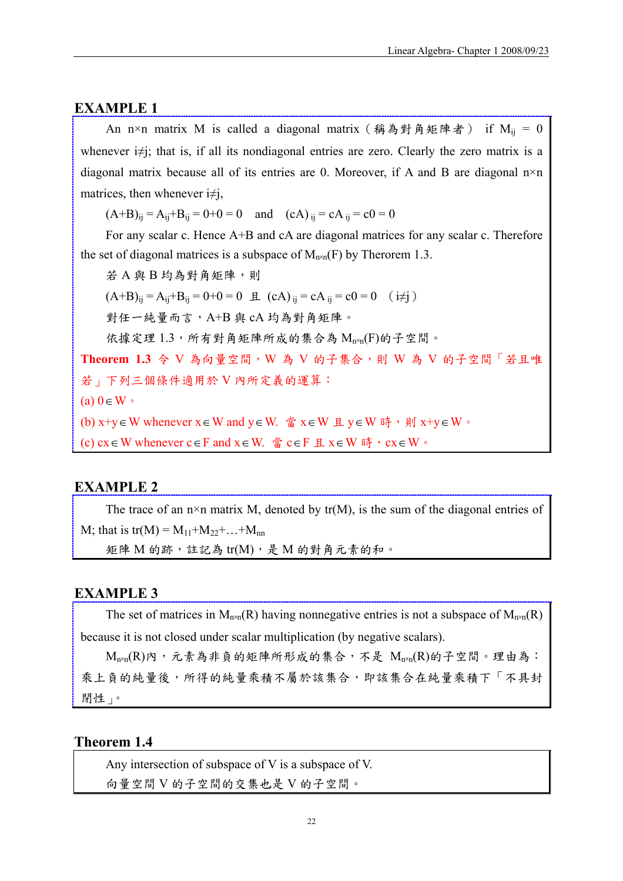#### **EXAMPLE 1**

An n×n matrix M is called a diagonal matrix (稱為對角矩陣者) if  $M_{ij} = 0$ whenever i≠j; that is, if all its nondiagonal entries are zero. Clearly the zero matrix is a diagonal matrix because all of its entries are 0. Moreover, if A and B are diagonal n×n matrices, then whenever  $i\neq j$ ,

 $(A+B)_{ii} = A_{ii} + B_{ii} = 0 + 0 = 0$  and  $(cA)_{ii} = cA_{ii} = c0 = 0$ 

For any scalar c. Hence A+B and cA are diagonal matrices for any scalar c. Therefore the set of diagonal matrices is a subspace of  $M_{n\times n}(F)$  by Therorem 1.3.

若 A 與 B 均為對角矩陣,則

 $(A+B)_{ii} = A_{ii} + B_{ii} = 0 + 0 = 0 \quad \text{if} \quad (cA)_{ii} = cA_{ii} = c0 = 0 \quad (i \neq j)$ 

對任一純量而言, A+B與 cA 均為對角矩陣。

依據定理1.3,所有對角矩陣所成的集合為 Mnxn(F)的子空間。

**Theorem 1.3** 令 V 為向量空間,W 為 V 的子集合,則 W 為 V 的子空間「若且唯 若」下列三個條件適用於 V 內所定義的運算: (a) 0∈W。

(b) x+y ∈W whenever x ∈ W and y ∈ W. 當 x ∈ W 且 y ∈ W 時,則 x+y ∈ W 。

(c) cx∈W whenever c∈F and  $x \in W$ . 當 c∈F 且  $x \in W$  時,  $cx \in W$ .

#### **EXAMPLE 2**

The trace of an  $n \times n$  matrix M, denoted by tr(M), is the sum of the diagonal entries of M; that is tr(M) =  $M_{11}+M_{22}+...+M_{nn}$ 矩陣 M 的跡,註記為 tr(M),是 M 的對角元素的和。

#### **EXAMPLE 3**

The set of matrices in  $M_{n\times n}(R)$  having nonnegative entries is not a subspace of  $M_{n\times n}(R)$ because it is not closed under scalar multiplication (by negative scalars).

 $M_{n\times n}(R)$ 內,元素為非負的矩陣所形成的集合,不是  $M_{n\times n}(R)$ 的子空間。理由為: 乘上負的純量後,所得的純量乘積不屬於該集合,即該集合在純量乘積下「不具封 閉性」。

### **Theorem 1.4**

Any intersection of subspace of V is a subspace of V.

向量空間 V 的子空間的交集也是 V 的子空間。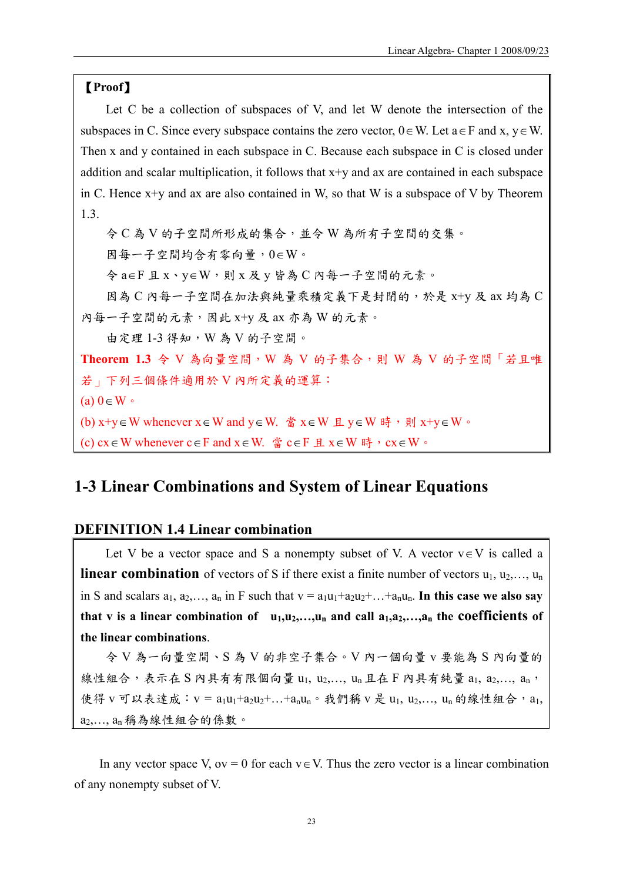### 【**Proof**】

Let C be a collection of subspaces of V, and let W denote the intersection of the subspaces in C. Since every subspace contains the zero vector,  $0 \in W$ . Let  $a \in F$  and  $x, y \in W$ . Then x and y contained in each subspace in C. Because each subspace in C is closed under addition and scalar multiplication, it follows that x+y and ax are contained in each subspace in C. Hence  $x+y$  and ax are also contained in W, so that W is a subspace of V by Theorem 1.3.

令 C 為 V 的子空間所形成的集合,並令 W 為所有子空間的交集。 因每一子空間均含有零向量,0∈W。 令 a∈F 且 x、y∈W,則 x 及 y 皆為 C 內每一子空間的元素。 因為 C 內每一子空間在加法與純量乘積定義下是封閉的,於是 x+y 及 ax 均為 C 內每一子空間的元素,因此 x+y 及 ax 亦為 W 的元素。 由定理 1-3 得知,W 為 V 的子空間。 **Theorem 1.3** 令 V 為向量空間,W 為 V 的子集合,則 W 為 V 的子空間「若且唯 若」下列三個條件適用於 V 內所定義的運算:  $(a) 0 \in W$ (b) x+y ∈W whenever x ∈ W and y ∈ W. 當 x ∈ W 且 y ∈ W 時,則 x+y ∈ W 。

(c) cx∈W whenever c∈F and  $x \in W$ . 當 c∈F 且  $x \in W$  時,  $cx \in W$ .

# **1-3 Linear Combinations and System of Linear Equations**

### **DEFINITION 1.4 Linear combination**

Let V be a vector space and S a nonempty subset of V. A vector  $v \in V$  is called a **linear combination** of vectors of S if there exist a finite number of vectors  $u_1, u_2, \ldots, u_n$ in S and scalars  $a_1, a_2, \ldots, a_n$  in F such that  $v = a_1u_1 + a_2u_2 + \ldots + a_nu_n$ . In this case we also say that v is a linear combination of  $u_1, u_2, \ldots, u_n$  and call  $a_1, a_2, \ldots, a_n$  the coefficients of **the linear combinations**.

令 V 為一向量空間、S 為 V 的非空子集合。V 內一個向量 v 要能為 S 內向量的 線性組合,表示在 S 內具有有限個向量 u1, u2,..., un 且在 F 內具有純量 a1, a2,..., an, 使得 v 可以表達成: v = a<sub>1</sub>u<sub>1</sub>+a<sub>2</sub>u<sub>2</sub>+...+a<sub>n</sub>u<sub>n</sub>。我們稱 v 是 u<sub>1</sub>, u<sub>2</sub>,..., u<sub>n</sub> 的線性組合, a<sub>1</sub>, a2,…, an 稱為線性組合的係數。

In any vector space V, ov = 0 for each  $v \in V$ . Thus the zero vector is a linear combination of any nonempty subset of V.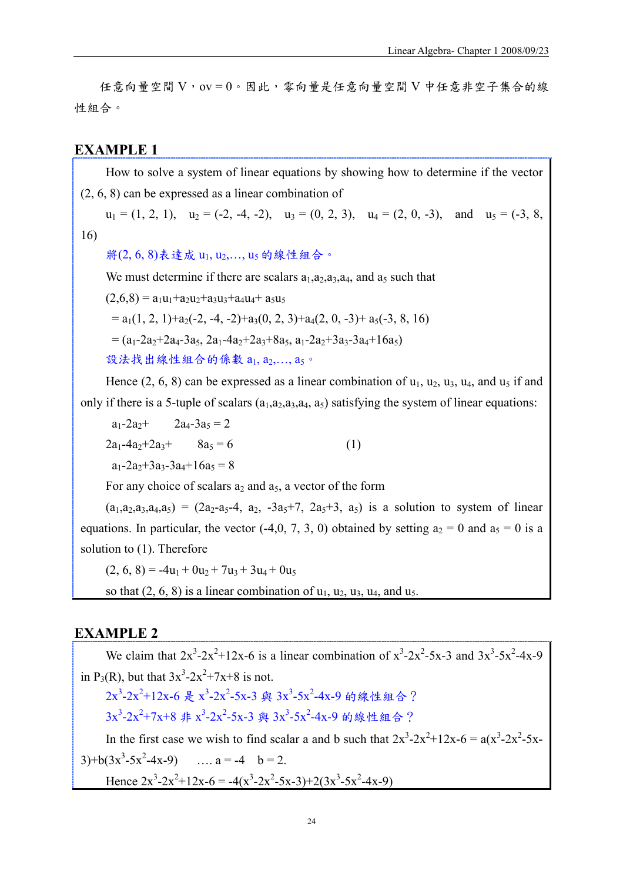任意向量空間 V,ov = 0。因此,零向量是任意向量空間 V 中任意非空子集合的線 性組合。

### **EXAMPLE 1**

How to solve a system of linear equations by showing how to determine if the vector (2, 6, 8) can be expressed as a linear combination of

 $u_1 = (1, 2, 1), u_2 = (-2, -4, -2), u_3 = (0, 2, 3), u_4 = (2, 0, -3),$  and  $u_5 = (-3, 8, 1, 1)$ 

16)

將(2,6,8)表達成 u1, u2,..., u5 的線性組合。

We must determine if there are scalars  $a_1, a_2, a_3, a_4$ , and  $a_5$  such that

 $(2,6,8) = a_1u_1+a_2u_2+a_3u_3+a_4u_4+a_5u_5$ 

 $= a_1(1, 2, 1)+a_2(-2, -4, -2)+a_3(0, 2, 3)+a_4(2, 0, -3)+a_5(-3, 8, 16)$ 

 $= (a_1-2a_2+2a_4-3a_5, 2a_1-4a_2+2a_3+8a_5, a_1-2a_2+3a_3-3a_4+16a_5)$ 

設法找出線性組合的係數 a1, a2,..., a5。

Hence  $(2, 6, 8)$  can be expressed as a linear combination of  $u_1, u_2, u_3, u_4$ , and  $u_5$  if and only if there is a 5-tuple of scalars  $(a_1,a_2,a_3,a_4,a_5)$  satisfying the system of linear equations:

 $a_1 - 2a_2 + 2a_4 - 3a_5 = 2$  $2a_1-4a_2+2a_3+ 8a_5 = 6$  (1)  $a_1 - 2a_2 + 3a_3 - 3a_4 + 16a_5 = 8$ 

For any choice of scalars  $a_2$  and  $a_5$ , a vector of the form

 $(a_1, a_2, a_3, a_4, a_5) = (2a_2-a_5-4, a_2, -3a_5+7, 2a_5+3, a_5)$  is a solution to system of linear equations. In particular, the vector (-4,0, 7, 3, 0) obtained by setting  $a_2 = 0$  and  $a_5 = 0$  is a solution to (1). Therefore

 $(2, 6, 8) = -4u_1 + 0u_2 + 7u_3 + 3u_4 + 0u_5$ so that  $(2, 6, 8)$  is a linear combination of  $u_1, u_2, u_3, u_4$ , and  $u_5$ .

### **EXAMPLE 2**

We claim that  $2x^3-2x^2+12x-6$  is a linear combination of  $x^3-2x^2-5x-3$  and  $3x^3-5x^2-4x-9$ in P<sub>3</sub>(R), but that  $3x^3 - 2x^2 + 7x + 8$  is not. 2x<sup>3</sup>-2x<sup>2</sup>+12x-6 是 x<sup>3</sup>-2x<sup>2</sup>-5x-3 與 3x<sup>3</sup>-5x<sup>2</sup>-4x-9 的線性組合? 3x<sup>3</sup>-2x<sup>2</sup>+7x+8 非 x<sup>3</sup>-2x<sup>2</sup>-5x-3 與 3x<sup>3</sup>-5x<sup>2</sup>-4x-9 的線性組合? In the first case we wish to find scalar a and b such that  $2x^3 - 2x^2 + 12x - 6 = a(x^3 - 2x^2 - 5x - 6)$  $3)+b(3x^3-5x^2-4x-9)$  ...  $a = -4$   $b = 2$ . Hence  $2x^3 - 2x^2 + 12x - 6 = -4(x^3 - 2x^2 - 5x - 3) + 2(3x^3 - 5x^2 - 4x - 9)$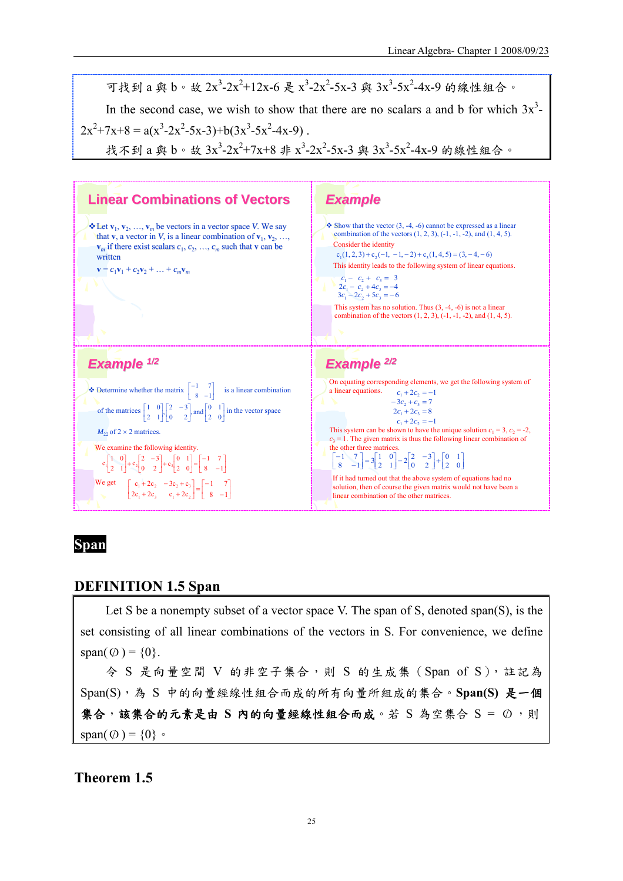

# **Span**

### **DEFINITION 1.5 Span**

Let S be a nonempty subset of a vector space V. The span of S, denoted span(S), is the set consisting of all linear combinations of the vectors in S. For convenience, we define span( $\varnothing$ ) = {0}.

令 S 是向量空間 V 的非空子集合,則 S 的生成集(Span of S),註記為 Span(S),為 S 中的向量經線性組合而成的所有向量所組成的集合。**Span(S)** 是一個 集合, 該集合的元素是由 S 內的向量經線性組合而成。若 S 為空集合 S = Ø,則 span $(\emptyset) = \{0\}$ 

# **Theorem 1.5**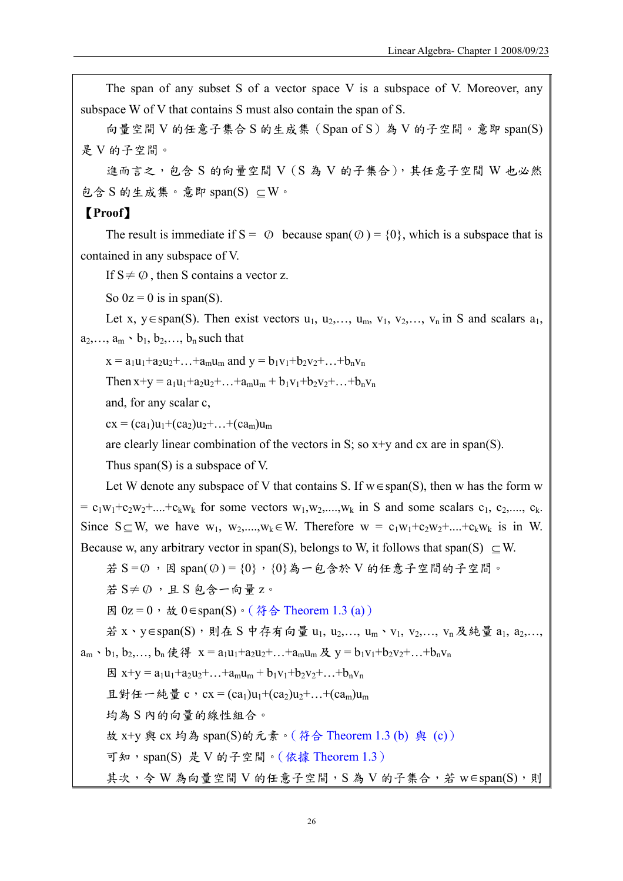The span of any subset S of a vector space V is a subspace of V. Moreover, any subspace W of V that contains S must also contain the span of S.

向量空間 V 的任意子集合 S 的生成集 (Span of S) 為 V 的子空間。意即 span(S) 是 V 的子空間。

進而言之,包含 S 的向量空間 V (S 為 V 的子集合), 其任意子空間 W 也必然 包含 S 的生成集。意即 span(S) ⊆W。

## 【**Proof**】

The result is immediate if  $S = \emptyset$  because span( $\emptyset$ ) = {0}, which is a subspace that is contained in any subspace of V.

If  $S \neq \emptyset$ , then S contains a vector z.

So  $0z = 0$  is in span(S).

Let x, y∈span(S). Then exist vectors  $u_1, u_2, \ldots, u_m, v_1, v_2, \ldots, v_n$  in S and scalars  $a_1$ ,  $a_2, \ldots, a_m \cdot b_1, b_2, \ldots, b_n$  such that

 $x = a_1u_1 + a_2u_2 + ... + a_mu_m$  and  $y = b_1v_1 + b_2v_2 + ... + b_nv_n$ 

Then  $x+y = a_1u_1+a_2u_2+...+a_mu_m + b_1v_1+b_2v_2+...+b_nv_n$ 

and, for any scalar c,

 $cx = (ca_1)u_1 + (ca_2)u_2 + ... + (ca_m)u_m$ 

are clearly linear combination of the vectors in S; so  $x+y$  and  $cx$  are in span(S).

Thus span(S) is a subspace of V.

Let W denote any subspace of V that contains S. If  $w \in span(S)$ , then w has the form w  $= c_1w_1+c_2w_2+....+c_kw_k$  for some vectors  $w_1,w_2,...,w_k$  in S and some scalars  $c_1, c_2,..., c_k$ . Since  $S \subseteq W$ , we have  $w_1, w_2,...,w_k \in W$ . Therefore  $w = c_1w_1+c_2w_2+...+c_kw_k$  is in W. Because w, any arbitrary vector in span(S), belongs to W, it follows that span(S)  $\subset$  W.

$$
\text{25} = 50 \cdot B \text{ span}(0) = \{0\} \cdot \{0\} \text{為} - 62 \text{3} \text{) } \text{的任意子空間的子空間。
$$

若  $S \neq \emptyset$ , 且  $S$  包含一向量 z。

因 0z = 0, 故 0∈span(S)。(符合 Theorem 1.3 (a))

```
若 x、y∈span(S),則在 S 中存有向量 u<sub>1</sub>, u<sub>2</sub>,..., u<sub>m</sub>、v<sub>1</sub>, v<sub>2</sub>,..., v<sub>n</sub> 及純量 a<sub>1</sub>, a<sub>2</sub>,...,
a_m \cdot b_1, b_2,..., b_n使得 x = a_1u_1 + a_2u_2 + ... + a_mu_m及 y = b_1v_1 + b_2v_2 + ... + b_nv_n
```
 $\boxtimes x+y = a_1u_1+a_2u_2+...+a_mu_m+b_1v_1+b_2v_2+...+b_nv_n$ 

且對任一純量 c, cx = (ca<sub>1</sub>)u<sub>1</sub>+(ca<sub>2</sub>)u<sub>2</sub>+…+(ca<sub>m</sub>)u<sub>m</sub>

均為 S 內的向量的線性組合。

故 x+y 與 cx 均為 span(S)的元素。(符合 Theorem 1.3 (b) 與 (c))

可知,span(S) 是 V 的子空間。(依據 Theorem 1.3)

其次,令 W 為向量空間 V 的任意子空間, S 為 V 的子集合, 若 w∈span(S), 則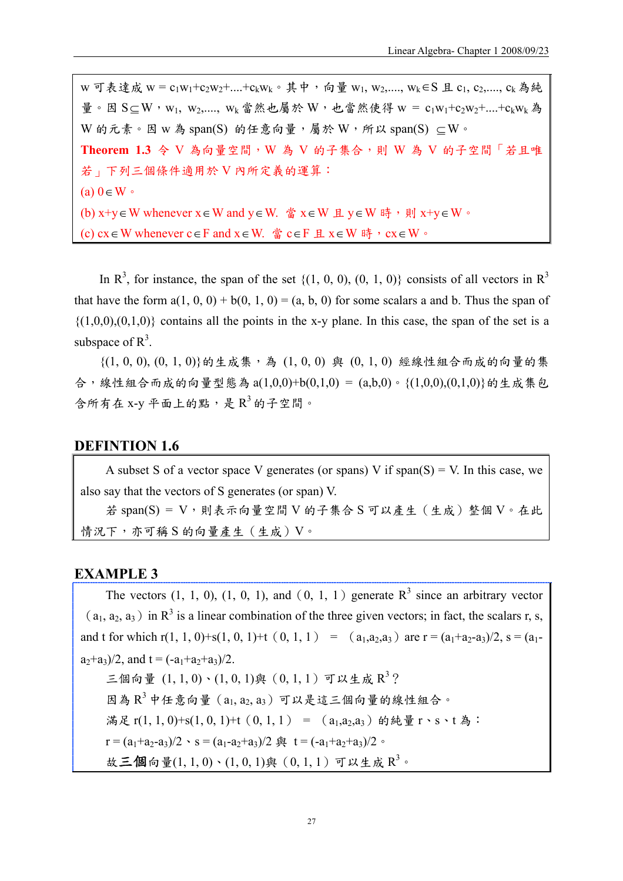$W$  可表達成  $W = C_1W_1+C_2W_2+....+C_kW_k$ 。其中, 向量  $W_1, W_2,...., W_k$ ∈S 且  $C_1, C_2,...., C_k$ 為純 量。因 S $\subseteq$ W, w<sub>1</sub>, w<sub>2</sub>,...., w<sub>k</sub> 當然也屬於 W, 也當然使得 w = c<sub>1</sub>w<sub>1</sub>+c<sub>2</sub>w<sub>2</sub>+....+c<sub>k</sub>w<sub>k</sub> 為 W 的元素。因 w 為 span(S) 的任意向量,屬於 W,所以 span(S)  $\subseteq$  W。 **Theorem 1.3** 令 V 為向量空間,W 為 V 的子集合,則 W 為 V 的子空間「若且唯 若」下列三個條件適用於 V 內所定義的運算:  $(a)$  0∈W  $\circ$ (b)  $x+y \in W$  whenever  $x \in W$  and  $y \in W$ . 當  $x \in W$  且  $y \in W$  時, 則  $x+y \in W$ . (c) cx∈W whenever c∈F and  $x \in W$ . 當 c∈F 且  $x \in W$  時,  $cx \in W$ .

In  $\mathbb{R}^3$ , for instance, the span of the set  $\{(1, 0, 0), (0, 1, 0)\}$  consists of all vectors in  $\mathbb{R}^3$ that have the form  $a(1, 0, 0) + b(0, 1, 0) = (a, b, 0)$  for some scalars a and b. Thus the span of  $\{(1,0,0),(0,1,0)\}\)$  contains all the points in the x-y plane. In this case, the span of the set is a subspace of  $R^3$ .

 $\{(1, 0, 0), (0, 1, 0)\}\$ 的生成集,為 $(1, 0, 0)$ 與 $(0, 1, 0)$ 經線性組合而成的向量的集 合,線性組合而成的向量型態為 a(1,0,0)+b(0,1,0) = (a,b,0)。{(1,0,0),(0,1,0)}的生成集包 含所有在 x-y 平面上的點,是 $R^3$ 的子空間。

### **DEFINTION 1.6**

A subset S of a vector space V generates (or spans) V if span(S) = V. In this case, we also say that the vectors of S generates (or span) V. 若 span(S) = V,則表示向量空間 V 的子集合 S 可以產生(生成)整個 V。在此 情況下,亦可稱 S 的向量產生(生成)V。

#### **EXAMPLE 3**

The vectors  $(1, 1, 0)$ ,  $(1, 0, 1)$ , and  $(0, 1, 1)$  generate  $R<sup>3</sup>$  since an arbitrary vector  $(a_1, a_2, a_3)$  in R<sup>3</sup> is a linear combination of the three given vectors; in fact, the scalars r, s, and t for which r(1, 1, 0)+s(1, 0, 1)+t (0, 1, 1) = ( $a_1, a_2, a_3$ ) are r =  $(a_1+a_2-a_3)/2$ , s =  $(a_1-a_2-a_3)/2$  $a_2+a_3/2$ , and  $t = (-a_1+a_2+a_3)/2$ . 三個向量  $(1, 1, 0) \cdot (1, 0, 1)$ 與 $(0, 1, 1)$  可以生成 $R^3$ ?  $B(A, B^3 P \nleftrightarrow B^3 P)$  (a<sub>1, a2, a3</sub>)可以是這三個向量的線性組合。 滿足 r(1, 1, 0)+s(1, 0, 1)+t (0, 1, 1) = (a<sub>1</sub>,a<sub>2</sub>,a<sub>3</sub>) 的純量 r、s、t 為: r =  $(a_1+a_2-a_3)/2$  · s =  $(a_1-a_2+a_3)/2$   $\stackrel{\frown}{=}$  t =  $(-a_1+a_2+a_3)/2$  · 故三個向量 $(1, 1, 0)$ 、 $(1, 0, 1)$ 與 $(0, 1, 1)$ 可以生成 $R$ <sup>3</sup>。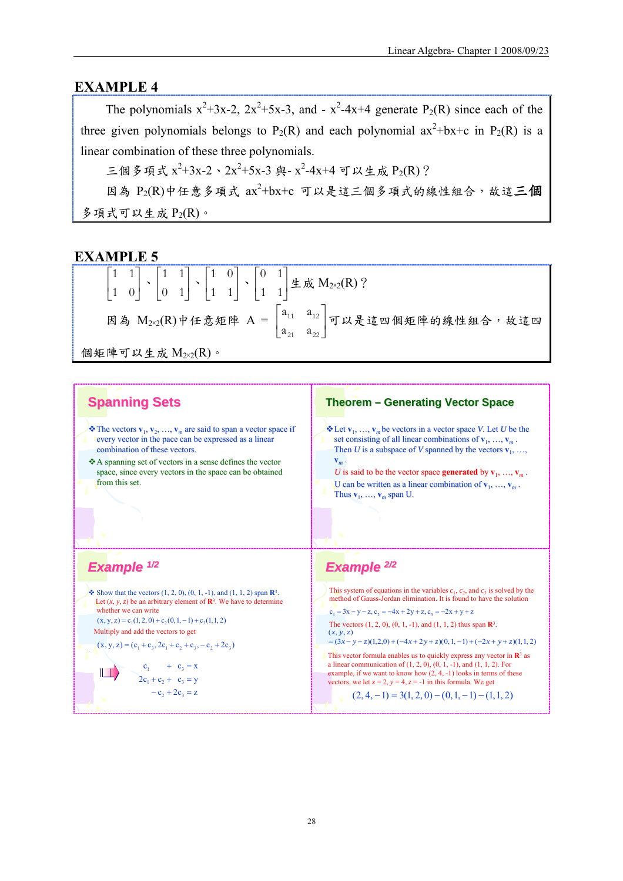### **EXAMPLE 4**

The polynomials  $x^2+3x-2$ ,  $2x^2+5x-3$ , and  $-x^2-4x+4$  generate  $P_2(R)$  since each of the three given polynomials belongs to P<sub>2</sub>(R) and each polynomial  $ax^2+bx+c$  in P<sub>2</sub>(R) is a linear combination of these three polynomials.

三個多項式  $x^2+3x-2 \cdot 2x^2+5x-3$ 與-  $x^2-4x+4$  可以生成  $P_2(R)$ ?

因為  $P_2(R)$ 中任意多項式  $ax^2$ +bx+c 可以是這三個多項式的線性組合,故這三個 多項式可以生成  $P_2(R)$ 。

### **EXAMPLE 5**

| $\begin{bmatrix} 1 & 1 \\ 1 & 0 \end{bmatrix} \cdot \begin{bmatrix} 1 & 1 \\ 0 & 1 \end{bmatrix} \cdot \begin{bmatrix} 1 & 0 \\ 1 & 1 \end{bmatrix} \cdot \begin{bmatrix} 0 & 1 \\ 1 & 1 \end{bmatrix}$ $\pm \overrightarrow{\mathbf{R}}$ $M_{2 \times 2}(R)$ ? |                                                                                                                      |
|-----------------------------------------------------------------------------------------------------------------------------------------------------------------------------------------------------------------------------------------------------------------|----------------------------------------------------------------------------------------------------------------------|
|                                                                                                                                                                                                                                                                 | 因為 M <sub>2×2</sub> (R)中任意矩陣 A = $\begin{vmatrix} a_{11} & a_{12} \ a_{21} & a_{22} \end{vmatrix}$ 可以是這四個矩陣的線性組合,故這四 |

個矩陣可以生成  $M_{2\times2}(R)$ 。

### **Spanning Sets**

**Example 1/2** 

whether we can write

.

 $\mathbb{L}$ 

Multiply and add the vectors to get

 $(x, y, z) = c_1(1, 2, 0) + c_2(0, 1, -1) + c_1(1, 1, 2)$ 

 $(x, y, z) = (c_1 + c_3, 2c_1 + c_2 + c_3, -c_2 + 2c_3)$ 

 $-c_2 + 2c_3 = z$  $2c_1 + c_2 + c_3 = y$  $c_1 + c_3 = x$ 

- $\mathbf{\Phi}$  The vectors  $\mathbf{v}_1, \mathbf{v}_2, \ldots, \mathbf{v}_m$  are said to span a vector space if every vector in the pace can be expressed as a linear combination of these vectors.
- $\triangle A$  spanning set of vectors in a sense defines the vector space, since every vectors in the space can be obtained from this set.

 $\bullet$  Show that the vectors  $(1, 2, 0), (0, 1, -1),$  and  $(1, 1, 2)$  span  $\mathbb{R}^3$ . Let  $(x, y, z)$  be an arbitrary element of  $\mathbb{R}^3$ . We have to determine

#### **Theorem – Generating Vector Space**

 $\mathbf{\hat{v}}$  Let  $\mathbf{v}_1, \ldots, \mathbf{v}_m$  be vectors in a vector space *V*. Let *U* be the set consisting of all linear combinations of  $\mathbf{v}_1, \ldots, \mathbf{v}_m$ . Then *U* is a subspace of *V* spanned by the vectors  $\mathbf{v}_1, \ldots,$ **v***<sup>m</sup>* .

*U* is said to be the vector space **generated** by  $\mathbf{v}_1, \ldots, \mathbf{v}_m$ . U can be written as a linear combination of  $\mathbf{v}_1, \ldots, \mathbf{v}_m$ . Thus  $\mathbf{v}_1, \ldots, \mathbf{v}_m$  span U.

# *Example Example 2/2*

This system of equations in the variables  $c_1$ ,  $c_2$ , and  $c_3$  is solved by the method of Gauss-Jordan elimination. It is found to have the solution

The vectors (1, 2, 0), (0, 1, -1), and (1, 1, 2) thus span **R**3.  $c_1 = 3x - y - z$ ,  $c_2 = -4x + 2y + z$ ,  $c_3 = -2x + y + z$ 

 $=(3x - y - z)(1,2,0) + (-4x + 2y + z)(0,1,-1) + (-2x + y + z)(1,1,2)$  $(x, y, z)$ 

This vector formula enables us to quickly express any vector in **R**<sup>3</sup> as a linear communication of  $(1, 2, 0)$ ,  $(0, 1, -1)$ , and  $(1, 1, 2)$ . For example, if we want to know how  $(2, 4, -1)$  looks in terms of these vectors, we let  $x = 2$ ,  $y = 4$ ,  $z = -1$  in this formula. We get

 $(2, 4, -1) = 3(1, 2, 0) - (0, 1, -1) - (1, 1, 2)$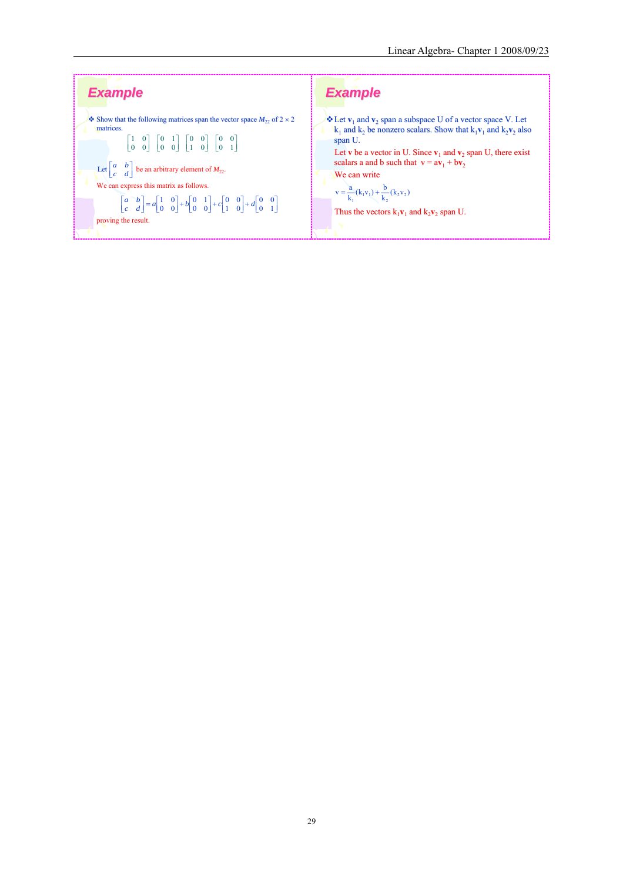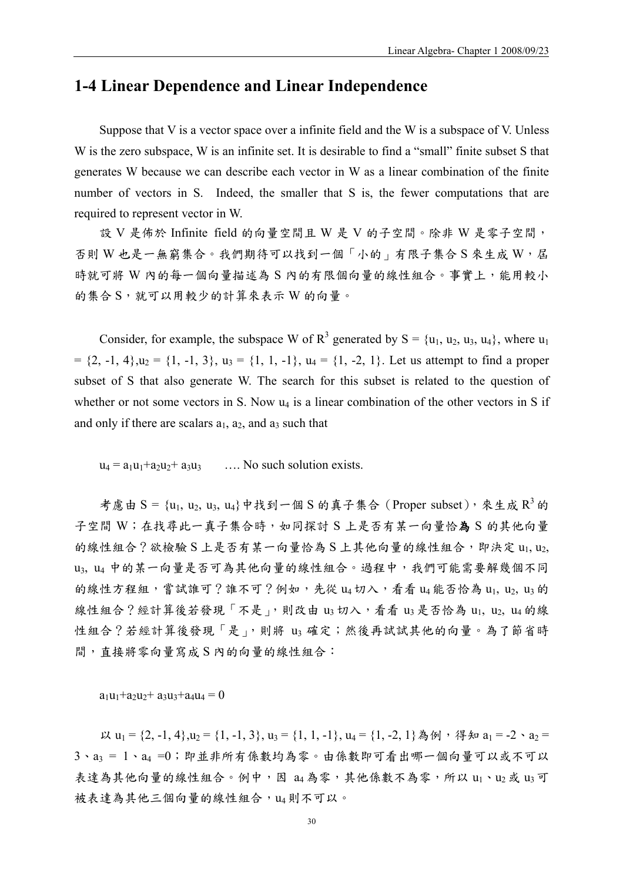# **1-4 Linear Dependence and Linear Independence**

Suppose that V is a vector space over a infinite field and the W is a subspace of V. Unless W is the zero subspace, W is an infinite set. It is desirable to find a "small" finite subset S that generates W because we can describe each vector in W as a linear combination of the finite number of vectors in S. Indeed, the smaller that S is, the fewer computations that are required to represent vector in W.

設 V 是佈於 Infinite field 的向量空間且 W 是 V 的子空間。除非 W 是零子空間, 否則 W 也是一無窮集合。我們期待可以找到一個「小的」有限子集合 S 來生成 W, 屆 時就可將 W 內的每一個向量描述為 S 內的有限個向量的線性組合。事實上,能用較小 的集合 S,就可以用較少的計算來表示 W 的向量。

Consider, for example, the subspace W of  $R^3$  generated by  $S = \{u_1, u_2, u_3, u_4\}$ , where  $u_1$  $= \{2, -1, 4\}, u_2 = \{1, -1, 3\}, u_3 = \{1, 1, -1\}, u_4 = \{1, -2, 1\}.$  Let us attempt to find a proper subset of S that also generate W. The search for this subset is related to the question of whether or not some vectors in S. Now  $u_4$  is a linear combination of the other vectors in S if and only if there are scalars  $a_1$ ,  $a_2$ , and  $a_3$  such that

 $u_4 = a_1u_1 + a_2u_2 + a_3u_3$  ... No such solution exists.

考慮由 S = {u<sub>1</sub>, u<sub>2</sub>, u<sub>3</sub>, u<sub>4</sub>}中找到一個 S 的真子集合 (Proper subset), 來生成 R<sup>3</sup> 的 子空間 W;在找尋此一真子集合時,如同探討 S 上是否有某一向量恰為 S 的其他向量 的線性組合?欲檢驗 S 上是否有某一向量恰為 S 上其他向量的線性組合, 即決定 u1, u2, u3, u4 中的某一向量是否可為其他向量的線性組合。過程中,我們可能需要解幾個不同 的線性方程組,嘗試誰可?誰不可?例如,先從 u4 切入,看看 u4 能否恰為 u1, u2, u3 的 線性組合?經計算後若發現「不是」,則改由 u3 切入,看看 u3 是否恰為 u1, u2, u4 的線 性組合?若經計算後發現「是」,則將 u3 確定;然後再試試其他的向量。為了節省時 間,直接將零向量寫成 S 內的向量的線性組合:

 $a_1u_1+a_2u_2+a_3u_3+a_4u_4 = 0$ 

以 u<sub>1</sub> = {2, -1, 4}, u<sub>2</sub> = {1, -1, 3}, u<sub>3</sub> = {1, 1, -1}, u<sub>4</sub> = {1, -2, 1}為例,得知 a<sub>1</sub> = -2、a<sub>2</sub> =  $3 \cdot a_3 = 1 \cdot a_4 = 0$ ; 即並非所有係數均為零。由係數即可看出哪一個向量可以或不可以 表達為其他向量的線性組合。例中,因 a4為零,其他係數不為零,所以 u1、u2或 u3可 被表達為其他三個向量的線性組合, u4 則不可以。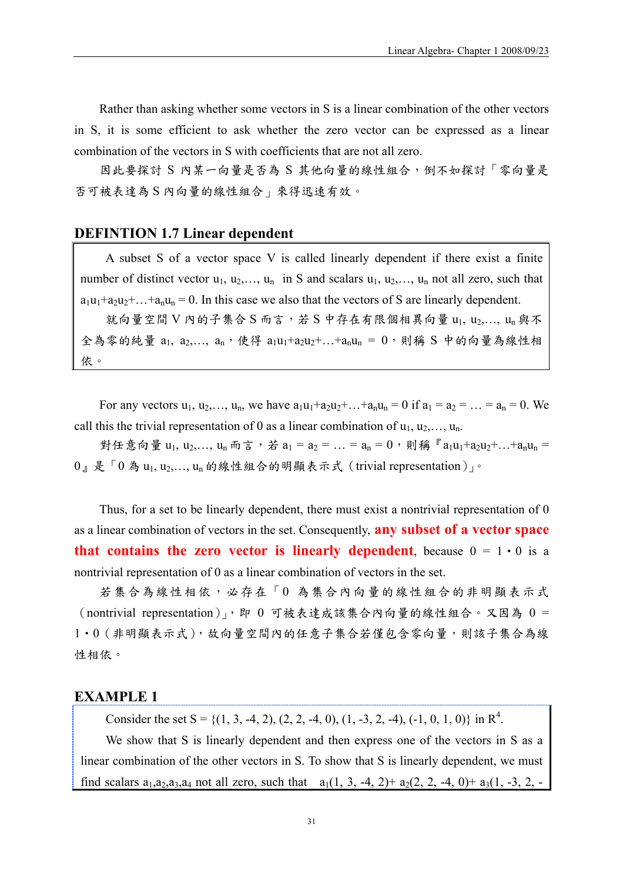Rather than asking whether some vectors in S is a linear combination of the other vectors in S, it is some efficient to ask whether the zero vector can be expressed as a linear combination of the vectors in S with coefficients that are not all zero.

因此要探討 S 內某一向量是否為 S 其他向量的線性組合, 倒不如探討「零向量是 否可被表達為 S 內向量的線性組合」來得迅速有效。

### **DEFINTION 1.7 Linear dependent**

A subset S of a vector space V is called linearly dependent if there exist a finite number of distinct vector  $u_1, u_2, \ldots, u_n$  in S and scalars  $u_1, u_2, \ldots, u_n$  not all zero, such that  $a_1u_1+a_2u_2+\ldots+a_nu_n=0$ . In this case we also that the vectors of S are linearly dependent. 就向量空間 V 內的子集合 S 而言,若 S 中存在有限個相異向量 u1, u2,..., un 與不

全為零的純量  $a_1, a_2, \ldots, a_n$ , 使得  $a_1u_1+a_2u_2+\ldots+a_nu_n = 0$ , 則稱 S 中的向量為線性相 依。

For any vectors  $u_1, u_2, ..., u_n$ , we have  $a_1u_1 + a_2u_2 + ... + a_nu_n = 0$  if  $a_1 = a_2 = ... = a_n = 0$ . We call this the trivial representation of 0 as a linear combination of  $u_1, u_2, \ldots, u_n$ .

對任意向量 u<sub>1</sub>, u<sub>2</sub>,..., u<sub>n</sub> 而言,若 a<sub>1</sub> = a<sub>2</sub> = ... = a<sub>n</sub> = 0,則稱『a<sub>1</sub>u<sub>1</sub>+a<sub>2</sub>u<sub>2</sub>+...+a<sub>n</sub>u<sub>n</sub> =  $0$   $\frac{1}{2}$   $\frac{1}{2}$   $\frac{1}{2}$   $\frac{1}{2}$   $\frac{1}{2}$   $\frac{1}{2}$   $\frac{1}{2}$   $\frac{1}{2}$   $\frac{1}{2}$   $\frac{1}{2}$   $\frac{1}{2}$   $\frac{1}{2}$   $\frac{1}{2}$   $\frac{1}{2}$   $\frac{1}{2}$   $\frac{1}{2}$   $\frac{1}{2}$   $\frac{1}{2}$   $\frac{1}{2}$   $\frac{1}{2}$   $\frac{1}{2}$   $\frac{1}{$ 

Thus, for a set to be linearly dependent, there must exist a nontrivial representation of 0 as a linear combination of vectors in the set. Consequently, **any subset of a vector space that contains the zero vector is linearly dependent**, because  $0 = 1 \cdot 0$  is a nontrivial representation of 0 as a linear combination of vectors in the set.

若集合為線性相依,必存在「0 為集合內向量的線性組合的非明顯表示式 (nontrivial representation)」,即 0 可被表達成該集合內向量的線性組合。又因為 0 = 1‧0(非明顯表示式),故向量空間內的任意子集合若僅包含零向量,則該子集合為線 性相依。

#### **EXAMPLE 1**

Consider the set  $S = \{(1, 3, -4, 2), (2, 2, -4, 0), (1, -3, 2, -4), (-1, 0, 1, 0)\}\$ in  $\mathbb{R}^4$ .

We show that S is linearly dependent and then express one of the vectors in S as a linear combination of the other vectors in S. To show that S is linearly dependent, we must find scalars  $a_1, a_2, a_3, a_4$  not all zero, such that  $a_1(1, 3, -4, 2) + a_2(2, 2, -4, 0) + a_3(1, -3, 2, -4)$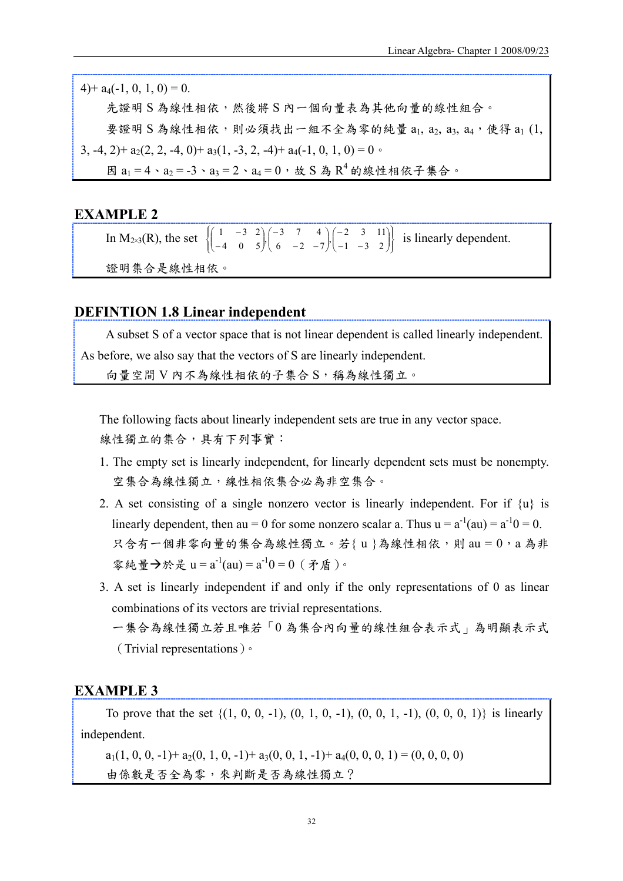$4$ )+  $a_4$ (-1, 0, 1, 0) = 0. 先證明 S 為線性相依,然後將 S 內一個向量表為其他向量的線性組合。 要證明 S 為線性相依,則必須找出一組不全為零的純量 a1, a2, a3, a4,使得 a1 (1, 3, -4, 2)+  $a_2(2, 2, -4, 0)$ +  $a_3(1, -3, 2, -4)$ +  $a_4(-1, 0, 1, 0) = 0$ . 因  $a_1 = 4 \cdot a_2 = -3 \cdot a_3 = 2 \cdot a_4 = 0$ , 故 S 為 R<sup>4</sup> 的線性相依子集合。

### **EXAMPLE 2**

In M<sub>2×3</sub>(R), the set  $\begin{Bmatrix} 1 & -3 & 2 \\ -4 & 0 & 5 \end{Bmatrix} \begin{bmatrix} -3 & 7 & 4 \\ 6 & -2 & -7 \end{bmatrix} \begin{bmatrix} -2 & 3 & 11 \\ -1 & -3 & 2 \end{bmatrix}$  $\mathbf l$  $\overline{\phantom{a}}$ ⎠ ⎞  $\parallel$ ⎝ ⎛ − − −  $\overline{\phantom{a}}$ ⎠ ⎞  $\parallel$ ⎝ ⎛  $-2 -$ −  $\overline{\mathfrak{r}}$ ⎪ ⎨  $\sqrt{2}$  $\overline{\phantom{a}}$ ⎠ ⎞  $\parallel$ ⎝ ⎛ − −  $\begin{bmatrix} 1 & -3 & 2 \\ -4 & 0 & 5 \end{bmatrix} \begin{bmatrix} -3 & 7 & 4 \\ 6 & -2 & -7 \end{bmatrix} \begin{bmatrix} -2 & 3 & 11 \\ -1 & -3 & 2 \end{bmatrix}$  is linearly dependent. 證明集合是線性相依。

#### **DEFINTION 1.8 Linear independent**

A subset S of a vector space that is not linear dependent is called linearly independent. As before, we also say that the vectors of S are linearly independent.

向量空間 V 內不為線性相依的子集合 S,稱為線性獨立。

The following facts about linearly independent sets are true in any vector space. 線性獨立的集合,具有下列事實:

- 1. The empty set is linearly independent, for linearly dependent sets must be nonempty. 空集合為線性獨立,線性相依集合必為非空集合。
- 2. A set consisting of a single nonzero vector is linearly independent. For if {u} is linearly dependent, then au = 0 for some nonzero scalar a. Thus  $u = a^{-1}(au) = a^{-1}0 = 0$ . 只含有一個非零向量的集合為線性獨立。若{u}為線性相依,則 au = 0,a 為非 零純量→於是 u = a<sup>-1</sup>(au) = a<sup>-1</sup>0 = 0 ( 矛盾)。
- 3. A set is linearly independent if and only if the only representations of 0 as linear combinations of its vectors are trivial representations. 一集合為線性獨立若且唯若「0 為集合內向量的線性組合表示式」為明顯表示式 (Trivial representations)。

### **EXAMPLE 3**

To prove that the set  $\{(1, 0, 0, -1), (0, 1, 0, -1), (0, 0, 1, -1), (0, 0, 0, 1)\}$  is linearly independent.

 $a_1(1, 0, 0, -1) + a_2(0, 1, 0, -1) + a_3(0, 0, 1, -1) + a_4(0, 0, 0, 1) = (0, 0, 0, 0)$ 由係數是否全為零,來判斷是否為線性獨立?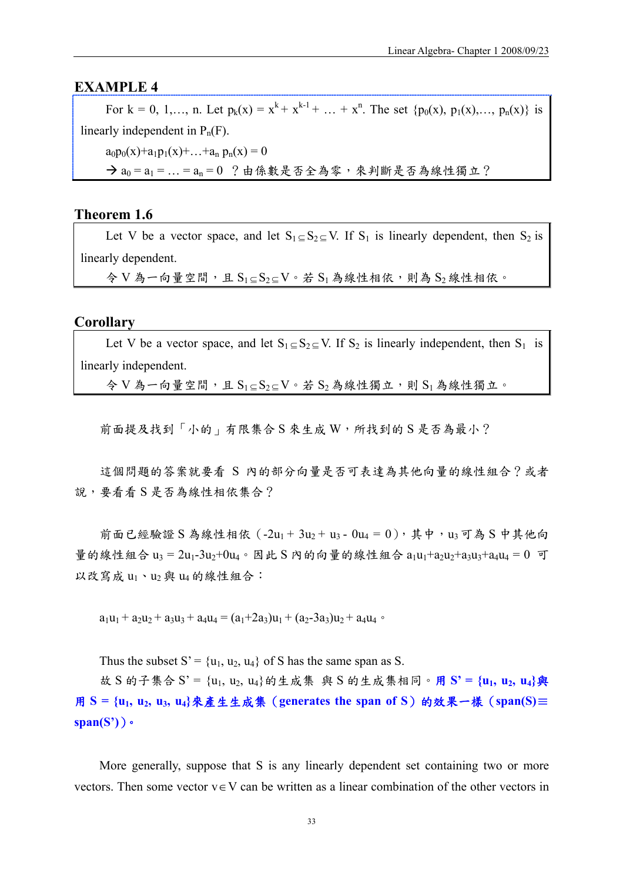### **EXAMPLE 4**

For  $k = 0, 1, \ldots, n$ . Let  $p_k(x) = x^k + x^{k-1} + \ldots + x^n$ . The set  $\{p_0(x), p_1(x), \ldots, p_n(x)\}$  is linearly independent in  $P_n(F)$ .  $a_0p_0(x)+a_1p_1(x)+\ldots+a_n p_n(x)=0$  $\rightarrow a_0 = a_1 = ... = a_n = 0$  ?由係數是否全為零,來判斷是否為線性獨立?

#### **Theorem 1.6**

Let V be a vector space, and let  $S_1 \subseteq S_2 \subseteq V$ . If  $S_1$  is linearly dependent, then  $S_2$  is linearly dependent.

 $\hat{\varphi}$  V 為一向量空間,且 S<sub>1⊆</sub> S<sub>2⊆</sub> V 。若 S<sub>1</sub> 為線性相依,則為 S<sub>2</sub> 線性相依。

#### **Corollary**

Let V be a vector space, and let  $S_1 \subseteq S_2 \subseteq V$ . If  $S_2$  is linearly independent, then  $S_1$  is linearly independent.

 $\hat{\varphi}$  V 為一向量空間,且 S<sub>1⊆</sub> S<sub>2⊆</sub> V。若 S<sub>2</sub> 為線性獨立,則 S<sub>1</sub> 為線性獨立。

前面提及找到「小的」有限集合 S 來生成 W, 所找到的 S 是否為最小?

這個問題的答案就要看 S 內的部分向量是否可表達為其他向量的線性組合?或者 說,要看看 S 是否為線性相依集合?

前面已經驗證 S 為線性相依  $(-2u_1 + 3u_2 + u_3 - 0u_4 = 0)$ , 其中,  $u_3$  可為 S 中其他向 量的線性組合 u3 = 2u1-3u2+0u4。因此 S 内的向量的線性組合 a1u1+a2u2+a3u3+a4u4 = 0 可 以改寫成  $u_1 \cdot u_2$ 與  $u_4$ 的線性組合:

 $a_1u_1 + a_2u_2 + a_3u_3 + a_4u_4 = (a_1 + 2a_3)u_1 + (a_2 - 3a_3)u_2 + a_4u_4$ 

Thus the subset  $S' = \{u_1, u_2, u_4\}$  of S has the same span as S.

故 S 的子集合 S' = {u1, u2, u4}的生成集 與 S 的生成集相同。用 **S' = {u1, u2, u4}**與 用 **S = {u1, u2, u3, u4}**來產生生成集(**generates the span of S**)的效果一樣(**span(S)**≣ **span(S')**)。

More generally, suppose that S is any linearly dependent set containing two or more vectors. Then some vector  $v \in V$  can be written as a linear combination of the other vectors in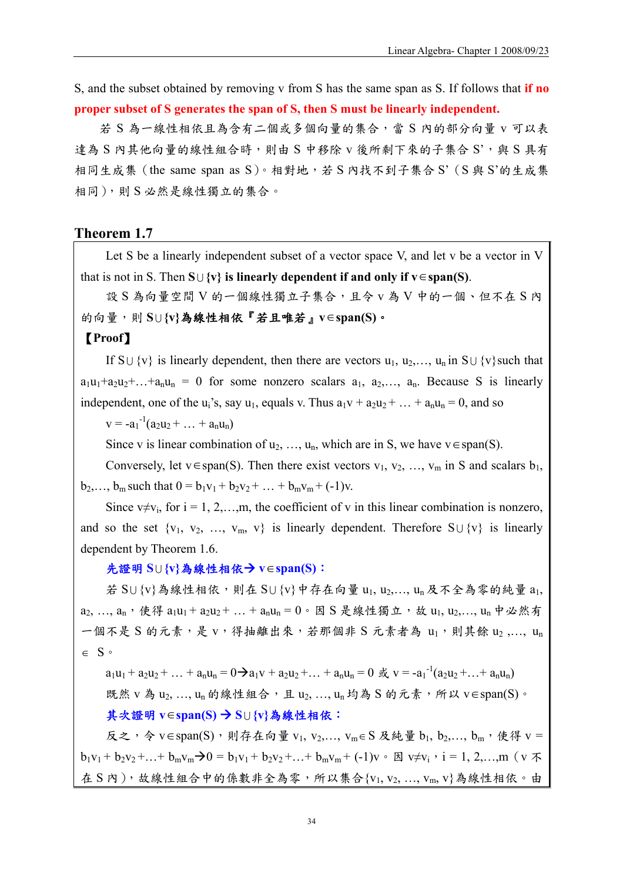S, and the subset obtained by removing v from S has the same span as S. If follows that **if no proper subset of S generates the span of S, then S must be linearly independent.**

若 S 為一線性相依且為含有二個或多個向量的集合,當 S 內的部分向量 v 可以表 達為 S 內其他向量的線性組合時,則由 S 中移除 v 後所剩下來的子集合 S',與 S 具有 相同生成集(the same span as S)。相對地,若 S 內找不到子集合 S'(S 與 S'的生成集 相同),則 S 必然是線性獨立的集合。

#### **Theorem 1.7**

Let S be a linearly independent subset of a vector space V, and let v be a vector in V that is not in S. Then  $S \cup \{v\}$  is linearly dependent if and only if  $v \in span(S)$ .

設 S 為向量空間 V 的一個線性獨立子集合,且令 v 為 V 中的一個、但不在 S 內 的向量,則 **S** <sup>U</sup> **{v}**為線性相依『若且唯若』**v**∈**span(S)**。

### 【**Proof**】

If S $\cup$  {v} is linearly dependent, then there are vectors  $u_1, u_2, \ldots, u_n$  in S $\cup$  {v}such that  $a_1u_1+a_2u_2+...+a_nu_n = 0$  for some nonzero scalars  $a_1, a_2,..., a_n$ . Because S is linearly independent, one of the u<sub>i</sub>'s, say u<sub>1</sub>, equals v. Thus  $a_1v + a_2u_2 + ... + a_nu_n = 0$ , and so

 $v = -a_1^{-1}(a_2u_2 + \dots + a_nu_n)$ 

Since v is linear combination of  $u_2, ..., u_n$ , which are in S, we have  $v \in span(S)$ .

Conversely, let v∈span(S). Then there exist vectors  $v_1, v_2, ..., v_m$  in S and scalars  $b_1$ ,  $b_2,..., b_m$  such that  $0 = b_1v_1 + b_2v_2 + ... + b_mv_m + (-1)v$ .

Since  $v \neq v_i$ , for  $i = 1, 2, \ldots, m$ , the coefficient of v in this linear combination is nonzero, and so the set  $\{v_1, v_2, ..., v_m, v\}$  is linearly dependent. Therefore  $S \cup \{v\}$  is linearly dependent by Theorem 1.6.

#### 先證明 **S** <sup>U</sup> **{v}**為線性相依Æ **v**∈**span(S)**:

若 SU {v}為線性相依,則在 SU {v}中存在向量 u1, u2,..., un 及不全為零的純量 a1,  $a_2, ..., a_n$ , 使得  $a_1u_1 + a_2u_2 + ... + a_nu_n = 0$ 。因 S 是線性獨立, 故  $u_1, u_2, ..., u_n$  中必然有 一個不是 S 的元素,是 v,得抽離出來,若那個非 S 元素者為 u1,則其餘 u2,..., un ∈ S。

 $a_1u_1 + a_2u_2 + ... + a_nu_n = 0 \rightarrow a_1v + a_2u_2 + ... + a_nu_n = 0 \text{ if } v = -a_1^{-1}(a_2u_2 + ... + a_nu_n)$ 既然 v 為 u2, ..., un 的線性組合,且 u2, ..., un 均為 S 的元素,所以 v∈span(S)。

#### 其次證明 **v**∈**span(S)** Æ **S** <sup>U</sup> **{v}**為線性相依:

反之,令 v∈span(S),則存在向量 v<sub>1</sub>, v<sub>2</sub>,..., v<sub>m∈</sub> S 及純量 b<sub>1</sub>, b<sub>2</sub>,..., b<sub>m</sub>, 使得 v =  $b_1v_1 + b_2v_2 + ... + b_mv_m \rightarrow 0 = b_1v_1 + b_2v_2 + ... + b_mv_m + (-1)v \cdot \boxtimes v \neq v_i$ ,  $i = 1, 2, ..., m$  (v  $\uparrow \uparrow$ 在 S 內),故線性組合中的係數非全為零,所以集合{ $v_1, v_2, ..., v_m, v$ }為線性相依。由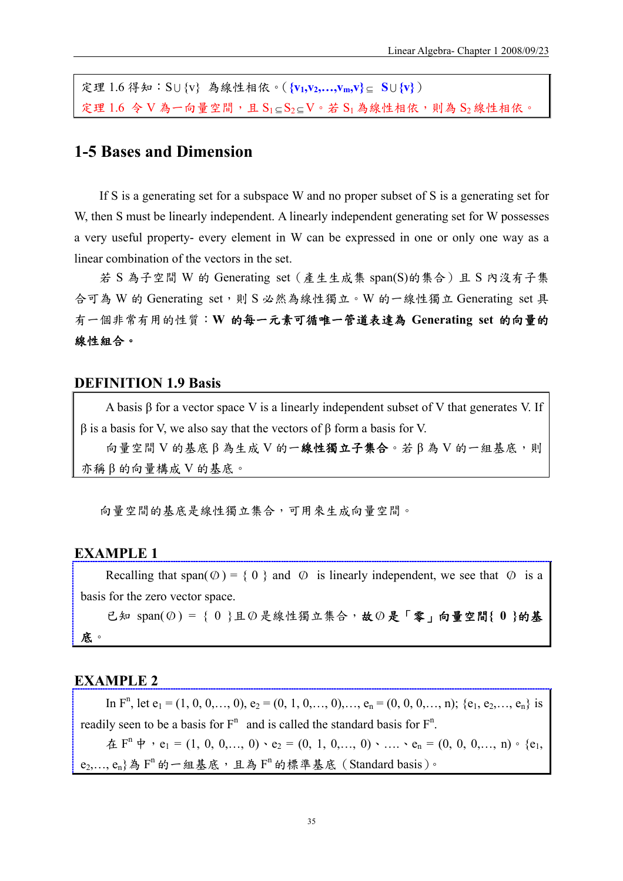定理 1.6 得知:S <sup>U</sup> {v} 為線性相依。(**{v1,v2,…,vm,v}** <sup>⊆</sup> **S** <sup>U</sup> **{v}**) 定理 1.6 令 V 為一向量空間,且 S1⊆S2⊆V。若 S1 為線性相依,則為 S2線性相依。

# **1-5 Bases and Dimension**

If S is a generating set for a subspace W and no proper subset of S is a generating set for W, then S must be linearly independent. A linearly independent generating set for W possesses a very useful property- every element in W can be expressed in one or only one way as a linear combination of the vectors in the set.

若 S 為子空間 W 的 Generating set(產生生成集 span(S)的集合)且 S 內沒有子集 合可為 W 的 Generating set,則 S 必然為線性獨立。W 的一線性獨立 Generating set 具 有一個非常有用的性質:**W** 的每一元素可循唯一管道表達為 **Generating set** 的向量的 線性組合。

#### **DEFINITION 1.9 Basis**

A basis β for a vector space V is a linearly independent subset of V that generates V. If  $β$  is a basis for V, we also say that the vectors of  $β$  form a basis for V.

向量空間 V 的基底 β 為生成 V 的一線性獨立子集合。若β為 V 的一組基底,則 亦稱 β 的向量構成 V 的基底。

向量空間的基底是線性獨立集合,可用來生成向量空間。

#### **EXAMPLE 1**

Recalling that span( $\emptyset$ ) = { 0 } and  $\emptyset$  is linearly independent, we see that  $\emptyset$  is a basis for the zero vector space.

已知 span(O/ ) = { 0 }且O/ 是線性獨立集合,故O/ 是「零」向量空間**{ 0 }**的基 底。

### **EXAMPLE 2**

In  $F<sup>n</sup>$ , let  $e_1 = (1, 0, 0, \ldots, 0), e_2 = (0, 1, 0, \ldots, 0), \ldots, e_n = (0, 0, 0, \ldots, n); \{e_1, e_2, \ldots, e_n\}$  is readily seen to be a basis for  $F^n$  and is called the standard basis for  $F^n$ .  $\hat{A}$  F<sup>n</sup>  $\hat{P}$   $\cdot$  e<sub>1</sub> = (1, 0, 0,..., 0)  $\cdot$  e<sub>2</sub> = (0, 1, 0,..., 0)  $\cdot$  ...,  $\cdot$  e<sub>n</sub> = (0, 0, 0,..., n)  $\cdot$  {e<sub>1</sub>,  $e_2,..., e_n$ 為  $F^n$ 的一組基底,且為  $F^n$ 的標準基底(Standard basis)。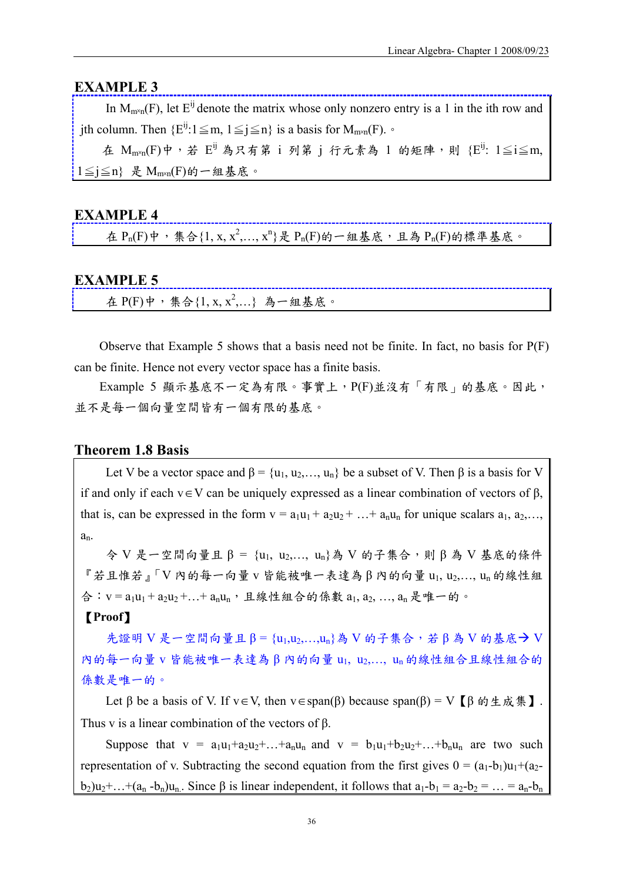### **EXAMPLE 3**

In  $M_{\text{max}}(F)$ , let  $E^{ij}$  denote the matrix whose only nonzero entry is a 1 in the ith row and jth column. Then  $\{E^{ij}: 1 \leq m, 1 \leq j \leq n\}$  is a basis for  $M_{m \times n}(F)$ .

在  $M_{\text{m} \times n}(F)$ 中,若  $E^{ij}$  為只有第 i 列第 i 行元素為 1 的矩陣,則 { $E^{ij}$ : 1≤i≤m,  $1 \leq j \leq n$ } 是 M<sub>m×n</sub>(F)的一組基底。

### **EXAMPLE 4**

在  $P_n(F)$ 中,集合 $\{1, x, x^2, ..., x^n\}$ 是  $P_n(F)$ 的一組基底,且為  $P_n(F)$ 的標準基底。

### **EXAMPLE 5**

在  $P(F)$ 中, 集合 $\{1, x, x^2,...\}$  為一組基底。

Observe that Example 5 shows that a basis need not be finite. In fact, no basis for P(F) can be finite. Hence not every vector space has a finite basis.

Example 5 顯示基底不一定為有限。事實上,P(F)並沒有「有限」的基底。因此, 並不是每一個向量空間皆有一個有限的基底。

#### **Theorem 1.8 Basis**

Let V be a vector space and  $\beta = \{u_1, u_2, \dots, u_n\}$  be a subset of V. Then  $\beta$  is a basis for V if and only if each v∈V can be uniquely expressed as a linear combination of vectors of β, that is, can be expressed in the form  $v = a_1u_1 + a_2u_2 + ... + a_nu_n$  for unique scalars  $a_1, a_2,...$ an.

 $\triangleright$  V 是一空間向量且 $\beta$  = {u<sub>1</sub>, u<sub>2</sub>,..., u<sub>n</sub>}為 V 的子集合,則 $\beta$  為 V 基底的條件 『若且惟若』「V 內的每一向量 v 皆能被唯一表達為 β 內的向量 u1, u2,…, un 的線性組 合: v = a<sub>1</sub>u<sub>1</sub> + a<sub>2</sub>u<sub>2</sub> + ... + a<sub>n</sub>u<sub>n</sub>, 且線性組合的係數 a<sub>1</sub>, a<sub>2</sub>, ..., a<sub>n</sub> 是唯一的。

### 【**Proof**】

先證明 V 是一空間向量且 β = {u<sub>1</sub>,u<sub>2</sub>,...,u<sub>n</sub>}為 V 的子集合,若 β 為 V 的基底→ V 內的每一向量 v 皆能被唯一表達為 β 內的向量 u1, u2,…, un 的線性組合且線性組合的 係數是唯一的。

Let β be a basis of V. If  $v \in V$ , then  $v \in span(\beta)$  because span(β) = V [β 的生成集]. Thus v is a linear combination of the vectors of β.

Suppose that  $v = a_1u_1+a_2u_2+...+a_nu_n$  and  $v = b_1u_1+b_2u_2+...+b_nu_n$  are two such representation of v. Subtracting the second equation from the first gives  $0 = (a_1-b_1)u_1+(a_2-b_1)u_2$  $b_2)u_2+...+(a_n-b_n)u_n$ . Since  $\beta$  is linear independent, it follows that  $a_1-b_1 = a_2-b_2 = ... = a_n-b_n$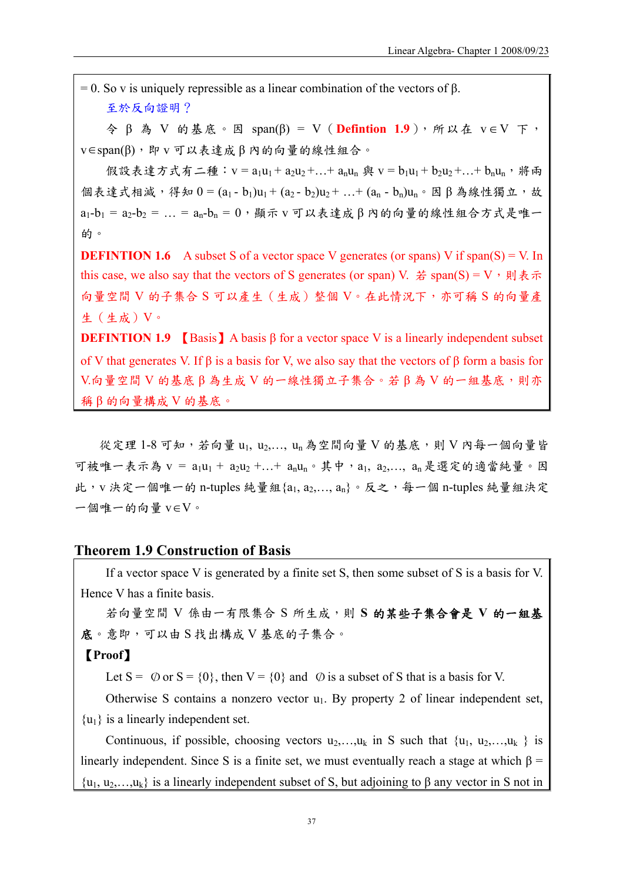$= 0$ . So v is uniquely repressible as a linear combination of the vectors of  $\beta$ . 至於反向證明?

 $\hat{\varphi}$  β 為 V 的基底。因 span(β) = V (Defintion 1.9), 所以在 v∈V 下,  $v \in span(\beta)$ , 即  $v \in \mathcal{V}$ 表達成 β 内的向量的線性組合。

假設表達方式有二種: v = a<sub>1</sub>u<sub>1</sub> + a<sub>2</sub>u<sub>2</sub> +... + a<sub>n</sub>u<sub>n</sub> 與 v = b<sub>1</sub>u<sub>1</sub> + b<sub>2</sub>u<sub>2</sub> +... + b<sub>n</sub>u<sub>n</sub>, 將兩 個表達式相減,得知  $0 = (a_1 - b_1)u_1 + (a_2 - b_2)u_2 + ... + (a_n - b_n)u_n$ 。因β為線性獨立,故  $a_1-b_1 = a_2-b_2 = ... = a_n-b_n = 0$ , 顯示 v 可以表達成 β 内的向量的線性組合方式是唯一 的。

**DEFINTION 1.6** A subset S of a vector space V generates (or spans) V if span(S) = V. In this case, we also say that the vectors of S generates (or span) V. 若 span(S) = V,則表示 向量空間 V 的子集合 S 可以產生(生成)整個 V。在此情況下,亦可稱 S 的向量產 生(生成)V。

**DEFINTION 1.9 [Basis]** A basis  $\beta$  for a vector space V is a linearly independent subset of V that generates V. If  $\beta$  is a basis for V, we also say that the vectors of  $\beta$  form a basis for  $V$ .向量空間  $V$  的基底 β 為生成  $V$  的一線性獨立子集合。若 β 為  $V$  的一組基底,則亦 稱 β 的向量構成 V 的基底。

從定理 1-8可知,若向量 u1, u2,..., un為空間向量 V 的基底,則 V 內每一個向量皆 可被唯一表示為 v = a<sub>1</sub>u<sub>1</sub> + a<sub>2</sub>u<sub>2</sub> +...+ a<sub>n</sub>u<sub>n</sub>。其中, a<sub>1</sub>, a<sub>2</sub>,..., a<sub>n</sub> 是選定的適當純量。因 此,v決定一個唯一的 n-tuples 純量組 $\{a_1, a_2, ..., a_n\}$ 。反之,每一個 n-tuples 純量組決定 一個唯一的向量 v∈V。

#### **Theorem 1.9 Construction of Basis**

If a vector space V is generated by a finite set S, then some subset of S is a basis for V. Hence V has a finite basis.

若向量空間 V 係由一有限集合 S 所生成,則 **S** 的某些子集合會是 **V** 的一組基 底。意即,可以由 S 找出構成 V 基底的子集合。

### 【**Proof**】

Let  $S = \emptyset$  or  $S = \{0\}$ , then  $V = \{0\}$  and  $\emptyset$  is a subset of S that is a basis for V.

Otherwise S contains a nonzero vector  $u_1$ . By property 2 of linear independent set,  $\{u_1\}$  is a linearly independent set.

Continuous, if possible, choosing vectors  $u_2,...,u_k$  in S such that  $\{u_1, u_2,...,u_k\}$  is linearly independent. Since S is a finite set, we must eventually reach a stage at which  $\beta$  =  $\{u_1, u_2,...,u_k\}$  is a linearly independent subset of S, but adjoining to  $\beta$  any vector in S not in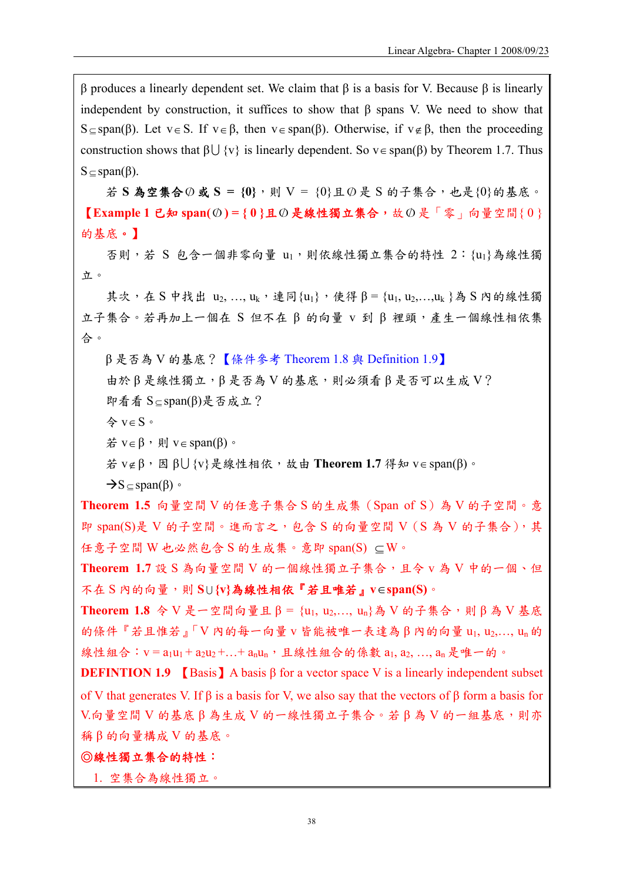β produces a linearly dependent set. We claim that β is a basis for V. Because β is linearly independent by construction, it suffices to show that β spans V. We need to show that S ⊆ span(β). Let v ∈ S. If v ∈ β, then v ∈ span(β). Otherwise, if v ∉ β, then the proceeding construction shows that  $\beta \cup \{v\}$  is linearly dependent. So  $v \in span(\beta)$  by Theorem 1.7. Thus  $S \subseteq span(\beta)$ .

若 **S** 為空集合O/ 或 **S = {0}**,則 V = {0}且O/ 是 S 的子集合,也是{0}的基底。 【**Example 1** 已知 **span(**O/ **) = { 0 }**且O/ 是線性獨立集合,故O/ 是「零」向量空間{ 0 } 的基底。】

否則,若 S 包含一個非零向量 u1,則依線性獨立集合的特性 2: {u1}為線性獨 立。

其次, 在 S 中找出 u2, ..., uk, 連同{u1}, 使得 β = {u1, u2, ...,uk}為 S 内的線性獨 立子集合。若再加上一個在 S 但不在 β 的向量 v 到 β 裡頭,產生一個線性相依集 合。

β 是否為 V 的基底?【條件參考 Theorem 1.8 與 Definition 1.9】 由於 β 是線性獨立, β 是否為 V 的基底,則必須看 β 是否可以生成 V? 即看看 S ⊆ span(β)是否成立?

令 v∈ S。

 $\#$  v∈ β,  $\mathbb{N}$  v∈ span(β)  $\circ$ 

若 v∉ β,因 βU {v}是線性相依,故由 **Theorem 1.7** 得知 v∈ span(β)。

 $\rightarrow$ S $\subseteq$ span( $\beta$ )  $\circ$ 

**Theorem 1.5** 向量空間 V 的任意子集合 S 的生成集(Span of S)為 V 的子空間。意 即 span(S)是 V 的子空間。進而言之,包含 S 的向量空間 V  $(S A V A A B C)$ , 其 任意子空間 W 也必然包含 S 的生成集。意即 span(S) ⊆W。

**Theorem 1.7** 設 S 為向量空間 V 的一個線性獨立子集合,且令 v 為 V 中的一個、但 不在 S 內的向量,則 **S** <sup>U</sup> **{v}**為線性相依『若且唯若』**v**∈**span(S)**。

Theorem 1.8 令 V 是一空間向量且 β = {u<sub>1</sub>, u<sub>2</sub>,..., u<sub>n</sub>}為 V 的子集合,則 β 為 V 基底 的條件『若且惟若』「V 內的每一向量 v 皆能被唯一表達為 β 内的向量 u1, u2,..., un 的 線性組合: v = a<sub>1</sub>u<sub>1</sub> + a<sub>2</sub>u<sub>2</sub> + ... + a<sub>n</sub>u<sub>n</sub>, 且線性組合的係數 a<sub>1</sub>, a<sub>2</sub>, ..., a<sub>n</sub> 是唯一的。

**DEFINTION 1.9** [Basis] A basis  $\beta$  for a vector space V is a linearly independent subset of V that generates V. If β is a basis for V, we also say that the vectors of β form a basis for  $V$ .向量空間  $V$  的基底 β 為生成  $V$  的一線性獨立子集合。若 β 為  $V$  的一組基底,則亦 稱 β 的向量構成 V 的基底。

#### ◎線性獨立集合的特性:

1. 空集合為線性獨立。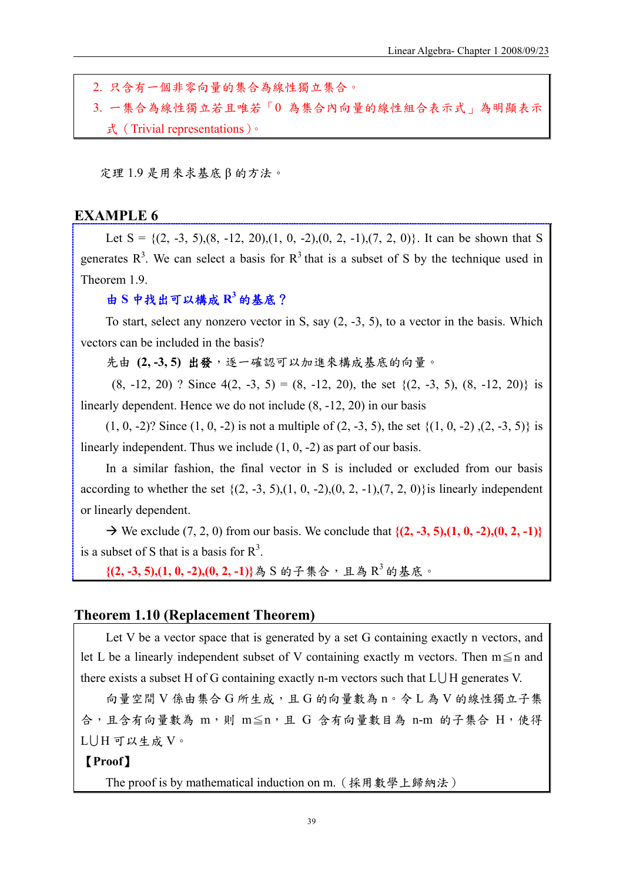2. 只含有一個非零向量的集合為線性獨立集合。 3. 一集合為線性獨立若且唯若「0 為集合內向量的線性組合表示式」為明顯表示 式(Trivial representations)。

定理 1.9 是用來求基底 β 的方法。

### **EXAMPLE 6**

Let  $S = \{(2, -3, 5), (8, -12, 20), (1, 0, -2), (0, 2, -1), (7, 2, 0)\}$ . It can be shown that S generates  $R^3$ . We can select a basis for  $R^3$  that is a subset of S by the technique used in Theorem 1.9.

### 由 **S** 中找出可以構成 **R3** 的基底?

To start, select any nonzero vector in S, say (2, -3, 5), to a vector in the basis. Which vectors can be included in the basis?

先由 (2,-3,5) 出發,逐一確認可以加進來構成基底的向量。

 $(8, -12, 20)$  ? Since  $4(2, -3, 5) = (8, -12, 20)$ , the set  $\{(2, -3, 5), (8, -12, 20)\}$  is linearly dependent. Hence we do not include (8, -12, 20) in our basis

(1, 0, -2)? Since (1, 0, -2) is not a multiple of (2, -3, 5), the set {(1, 0, -2) ,(2, -3, 5)} is linearly independent. Thus we include (1, 0, -2) as part of our basis.

In a similar fashion, the final vector in S is included or excluded from our basis according to whether the set  $\{(2, -3, 5), (1, 0, -2), (0, 2, -1), (7, 2, 0)\}$  is linearly independent or linearly dependent.

 $\rightarrow$  We exclude (7, 2, 0) from our basis. We conclude that  $\{(2, -3, 5), (1, 0, -2), (0, 2, -1)\}$ is a subset of S that is a basis for  $R^3$ .

**{(2, -3, 5),(1, 0, -2),(0, 2, -1)}**為 S 的子集合,且為 R3 的基底。

### **Theorem 1.10 (Replacement Theorem)**

Let V be a vector space that is generated by a set G containing exactly n vectors, and let L be a linearly independent subset of V containing exactly m vectors. Then  $m \leq n$  and there exists a subset H of G containing exactly n-m vectors such that  $L \cup H$  generates V.

向量空間 V 係由集合 G 所生成,且 G 的向量數為 n。令 L 為 V 的線性獨立子集 合,且含有向量數為 m,則 m≦n,且 G 含有向量數目為 n-m 的子集合 H,使得  $L$  $\cup$  H 可以生成 V。

### 【**Proof**】

The proof is by mathematical induction on m.(採用數學上歸納法)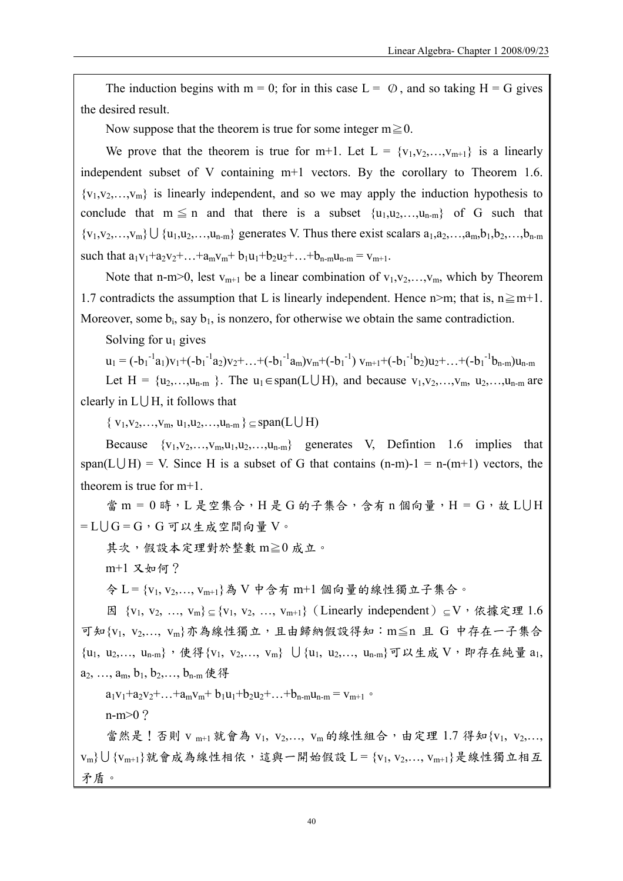The induction begins with m = 0; for in this case  $L = \emptyset$ , and so taking H = G gives the desired result.

Now suppose that the theorem is true for some integer  $m \ge 0$ .

We prove that the theorem is true for m+1. Let  $L = \{v_1, v_2, \ldots, v_{m+1}\}\$  is a linearly independent subset of V containing m+1 vectors. By the corollary to Theorem 1.6.  ${v_1, v_2, \ldots, v_m}$  is linearly independent, and so we may apply the induction hypothesis to conclude that  $m \leq n$  and that there is a subset  $\{u_1, u_2, \ldots, u_{n-m}\}$  of G such that  ${v_1,v_2,...,v_m}\cup {u_1,u_2,...,u_{n-m}}$  generates V. Thus there exist scalars  $a_1,a_2,...,a_m,b_1,b_2,...,b_{n-m}$ such that  $a_1v_1+a_2v_2+...+a_mv_m+b_1u_1+b_2u_2+...+b_{n-m}u_{n-m} = v_{m+1}$ .

Note that n-m>0, lest  $v_{m+1}$  be a linear combination of  $v_1, v_2, \ldots, v_m$ , which by Theorem 1.7 contradicts the assumption that L is linearly independent. Hence n>m; that is,  $n \ge m+1$ . Moreover, some  $b_i$ , say  $b_1$ , is nonzero, for otherwise we obtain the same contradiction.

Solving for  $u_1$  gives

 $u_1 = (-b_1^{-1}a_1)v_1 + (-b_1^{-1}a_2)v_2 + ... + (-b_1^{-1}a_m)v_m + (-b_1^{-1})v_{m+1} + (-b_1^{-1}b_2)u_2 + ... + (-b_1^{-1}b_{n-m})u_{n-m}$ 

Let  $H = \{u_2,...,u_{n-m}\}\.$  The  $u_1 \in span(L \cup H)$ , and because  $v_1,v_2,...,v_m, u_2,...,u_{n-m}$  are clearly in  $L \bigcup H$ , it follows that

 $\{v_1, v_2, \ldots, v_m, u_1, u_2, \ldots, u_{n-m}\} \subseteq span(L \cup H)$ 

Because  $\{v_1, v_2, \ldots, v_m, u_1, u_2, \ldots, u_{n-m}\}$  generates V, Defintion 1.6 implies that span(L $\bigcup H$ ) = V. Since H is a subset of G that contains (n-m)-1 = n-(m+1) vectors, the theorem is true for m+1.

當 m = 0 時, L 是空集合, H 是 G 的子集合, 含有 n 個向量, H = G, 故 L U H  $= L \cup G = G$ , G可以生成空間向量 V。

其次,假設本定理對於整數 m≧0 成立。

m+1 又如何?

令 L = {v1, v2,…, vm+1}為 V 中含有 m+1 個向量的線性獨立子集合。

因 {v<sub>1</sub>, v<sub>2</sub>, ..., v<sub>m</sub>} ⊆ {v<sub>1</sub>, v<sub>2</sub>, ..., v<sub>m+1</sub>}(Linearly independent) ⊆ V, 依據定理 1.6 可知{v1, v2,…, vm}亦為線性獨立,且由歸納假設得知:m≦n 且 G 中存在一子集合  ${u_1, u_2,..., u_{n-m}}$ ,使得 ${v_1, v_2,..., v_m}$   $\bigcup {u_1, u_2,..., u_{n-m}}$ 可以生成  $V$ , 即存在純量  $a_1$ ,  $a_2, \ldots, a_m, b_1, b_2, \ldots, b_{n-m}$  使得

 $a_1v_1+a_2v_2+\ldots+a_mv_m+b_1u_1+b_2u_2+\ldots+b_{n-m}u_{n-m} = v_{m+1}$ 

n-m>0?

當然是!否則 v m+1 就會為 v1, v2,..., vm 的線性組合,由定理 1.7 得知 {v1, v2,...,  $v_m$ } $\bigcup$  { $v_{m+1}$ }就會成為線性相依,這與一開始假設  $L = \{v_1, v_2, \ldots, v_{m+1}\}$ 是線性獨立相互 矛盾。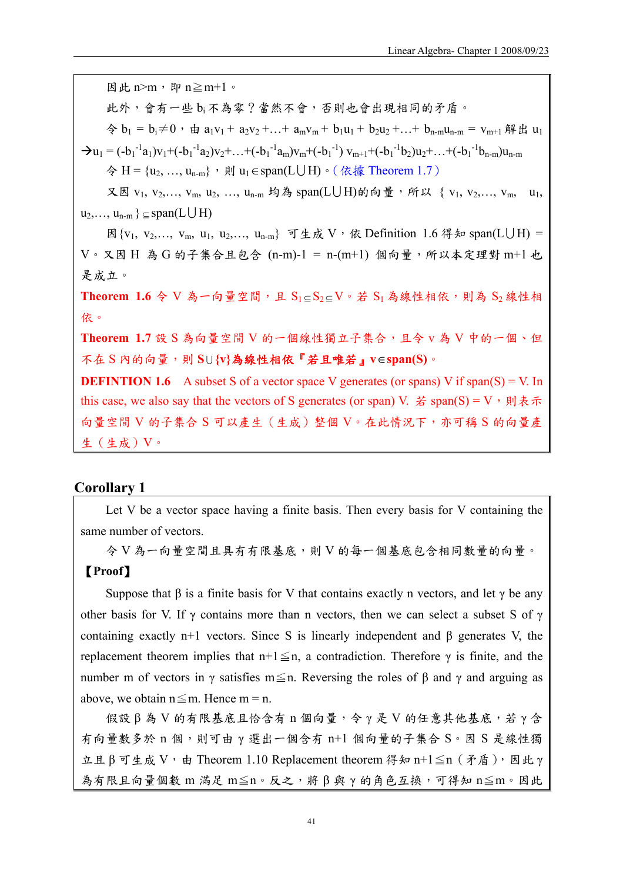因此 $n>m$ ,即 $n \geq m+1$ 。 此外,會有一些 bi不為零?當然不會,否則也會出現相同的矛盾。  $\diamondsuit b_1 = b_1 \neq 0$ , 由  $a_1v_1 + a_2v_2 + ... + a_mv_m + b_1u_1 + b_2u_2 + ... + b_{n-m}u_{n-m} = v_{m+1}$ 解出  $u_1$  $\rightarrow u_1 = (-b_1^{-1}a_1)v_1 + (-b_1^{-1}a_2)v_2 + ... + (-b_1^{-1}a_m)v_m + (-b_1^{-1})v_{m+1} + (-b_1^{-1}b_2)u_2 + ... + (-b_1^{-1}b_{n-m})u_{n-m}$  $\diamondsuit$  H = {u<sub>2</sub>, …, u<sub>n-m</sub>}, 則 u<sub>1</sub>∈span(L∪ H) 。(依據 Theorem 1.7) 又因  $v_1, v_2, \ldots, v_m, u_2, \ldots, u_{n-m}$  均為  $span(L \cup H)$ 的向量, 所以  $\{v_1, v_2, \ldots, v_m, u_1, u_2, \ldots, u_m\}$  $u_2,..., u_{n-m} \subseteq span(L \cup H)$ 因 $\{v_1, v_2,..., v_m, u_1, u_2,..., u_{n-m}\}$  可生成 V, 依 Definition 1.6 得知 span(LUH) =  $V$ 。又因 H 為 G 的子集合且包含 (n-m)-1 = n-(m+1) 個向量,所以本定理對 m+1 也 是成立。 Theorem 1.6 今 V 為一向量空間,且 S<sub>1⊂</sub>S<sub>2⊂</sub>V。若 S<sub>1</sub> 為線性相依,則為 S<sub>2</sub> 線性相 依。 **Theorem 1.7** 設 S 為向量空間 V 的一個線性獨立子集合,且令 v 為 V 中的一個、但 不在 S 內的向量,則 **S** <sup>U</sup> **{v}**為線性相依『若且唯若』**v**∈**span(S)**。 **DEFINTION 1.6** A subset S of a vector space V generates (or spans) V if span(S) = V. In this case, we also say that the vectors of S generates (or span) V. 若 span(S) = V,則表示 向量空間 V 的子集合 S 可以產生(生成)整個 V。在此情況下,亦可稱 S 的向量產 生(生成)V。

### **Corollary 1**

Let V be a vector space having a finite basis. Then every basis for V containing the same number of vectors.

令 V 為一向量空間且具有有限基底,則 V 的每一個基底包含相同數量的向量。 【**Proof**】

Suppose that  $\beta$  is a finite basis for V that contains exactly n vectors, and let  $\gamma$  be any other basis for V. If  $\gamma$  contains more than n vectors, then we can select a subset S of  $\gamma$ containing exactly n+1 vectors. Since S is linearly independent and  $\beta$  generates V, the replacement theorem implies that  $n+1 \leq n$ , a contradiction. Therefore  $\gamma$  is finite, and the number m of vectors in γ satisfies m in Reversing the roles of  $\beta$  and  $\gamma$  and arguing as above, we obtain  $n \leq m$ . Hence  $m = n$ .

假設 β 為 V 的有限基底且恰含有 n 個向量,令 γ 是 V 的任意其他基底,若 γ 含 有向量數多於 n 個,則可由 γ 選出一個含有 n+1 個向量的子集合 S。因 S 是線性獨  $\pm \pm \beta$  可生成 V, 由 Theorem 1.10 Replacement theorem 得知 n+1≦n (矛盾), 因此 γ 為有限且向量個數 m 滿足 m≦n。反之,將 β與 γ 的角色互換,可得知 n≦m。因此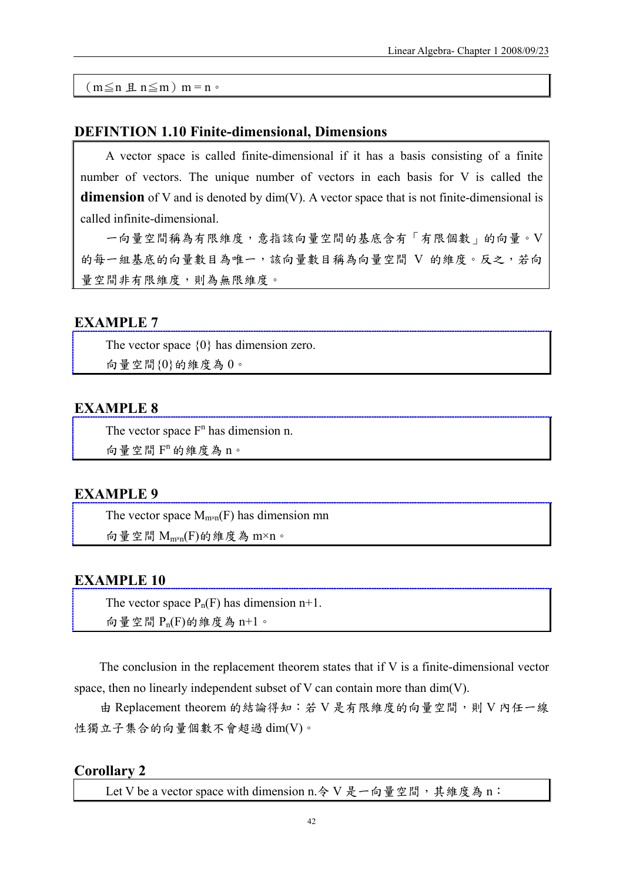$(m \leq n \nvert n \leq m)$  m = n  $\circ$ 

### **DEFINTION 1.10 Finite-dimensional, Dimensions**

A vector space is called finite-dimensional if it has a basis consisting of a finite number of vectors. The unique number of vectors in each basis for V is called the **dimension** of V and is denoted by dim(V). A vector space that is not finite-dimensional is called infinite-dimensional.

一向量空間稱為有限維度,意指該向量空間的基底含有「有限個數」的向量。V 的每一組基底的向量數目為唯一,該向量數目稱為向量空間 V 的維度。反之,若向 量空間非有限維度,則為無限維度。

### **EXAMPLE 7**

The vector space {0} has dimension zero. 向量空間{0}的維度為 0。

### **EXAMPLE 8**

The vector space  $F<sup>n</sup>$  has dimension n.

向量空間  $F$ <sup>n</sup> 的維度為 n。

### **EXAMPLE 9**

The vector space  $M_{m\times n}(F)$  has dimension mn

向量空間 Mm×n(F)的維度為 m×n。

### **EXAMPLE 10**

The vector space  $P_n(F)$  has dimension  $n+1$ . 向量空間 Pn(F)的維度為 n+1。

The conclusion in the replacement theorem states that if V is a finite-dimensional vector space, then no linearly independent subset of V can contain more than dim(V).

由 Replacement theorem 的結論得知:若 V 是有限維度的向量空間,則 V 內任一線 性獨立子集合的向量個數不會超過 dim(V)。

### **Corollary 2**

Let V be a vector space with dimension n. 令 V 是一向量空間,其維度為 n: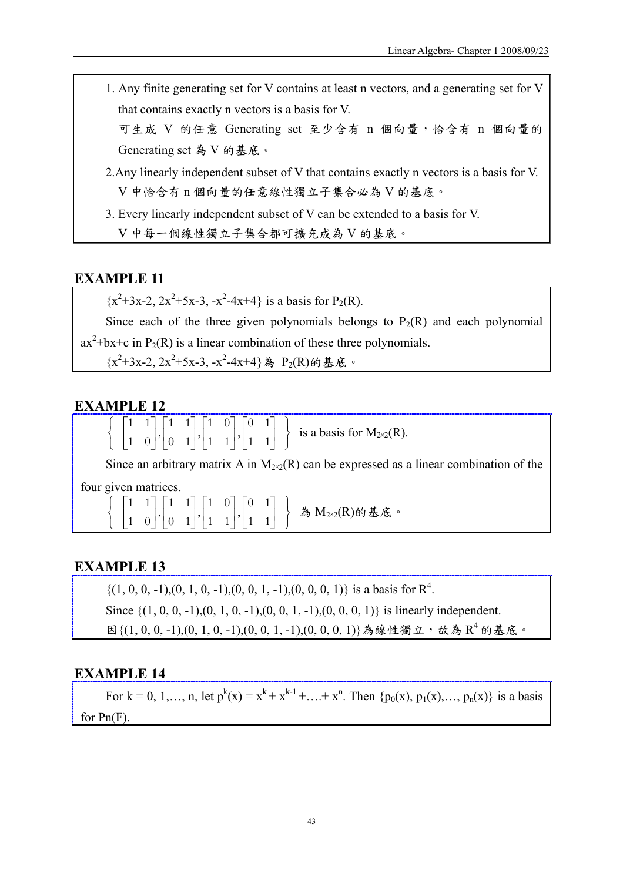1. Any finite generating set for V contains at least n vectors, and a generating set for V that contains exactly n vectors is a basis for V.

可生成 V 的任意 Generating set 至少含有 n 個向量,恰含有 n 個向量的 Generating set 為 V 的基底。

- 2.Any linearly independent subset of V that contains exactly n vectors is a basis for V. V 中恰含有 n 個向量的任意線性獨立子集合必為 V 的基底。
- 3. Every linearly independent subset of V can be extended to a basis for V. V 中每一個線性獨立子集合都可擴充成為 V 的基底。

### **EXAMPLE 11**

 $\{x^2+3x-2, 2x^2+5x-3, -x^2-4x+4\}$  is a basis for P<sub>2</sub>(R).

Since each of the three given polynomials belongs to  $P_2(R)$  and each polynomial  $ax^2+bx+c$  in  $P_2(R)$  is a linear combination of these three polynomials.

 ${x^2+3x-2, 2x^2+5x-3, -x^2-4x+4}$ 為  $P_2(R)$ 的基底。

### **EXAMPLE 12**

|  |  |  |  |  |  | $\left\{ \begin{bmatrix} 1 & 1 \\ 1 & 0 \end{bmatrix}, \begin{bmatrix} 1 & 1 \\ 0 & 1 \end{bmatrix}, \begin{bmatrix} 1 & 0 \\ 1 & 1 \end{bmatrix}, \begin{bmatrix} 0 & 1 \\ 1 & 1 \end{bmatrix} \right\}$ is a basis for $M_{2\times2}(R)$ . |
|--|--|--|--|--|--|----------------------------------------------------------------------------------------------------------------------------------------------------------------------------------------------------------------------------------------------|
|--|--|--|--|--|--|----------------------------------------------------------------------------------------------------------------------------------------------------------------------------------------------------------------------------------------------|

Since an arbitrary matrix A in  $M_{20}(\mathbb{R})$  can be expressed as a linear combination of the

four given matrices.

|  |  |  | $\left\{\begin{array}{c} \begin{bmatrix} 1 & 1 \ 1 & 0 \end{bmatrix}, \begin{bmatrix} 1 & 1 \ 0 & 1 \end{bmatrix}, \begin{bmatrix} 1 & 0 \ 1 & 1 \end{bmatrix}, \begin{bmatrix} 0 & 1 \ 1 & 1 \end{bmatrix} \end{array}\right\} \quad \text{\AA\ M}_{2\times 2}(R)$ 的基底。 |
|--|--|--|--------------------------------------------------------------------------------------------------------------------------------------------------------------------------------------------------------------------------------------------------------------------------|
|  |  |  |                                                                                                                                                                                                                                                                          |

### **EXAMPLE 13**

 $\{(1, 0, 0, -1), (0, 1, 0, -1), (0, 0, 1, -1), (0, 0, 0, 1)\}\$ is a basis for  $\mathbb{R}^4$ . Since  $\{(1, 0, 0, -1), (0, 1, 0, -1), (0, 0, 1, -1), (0, 0, 0, 1)\}\$ is linearly independent. 因{ $(1, 0, 0, -1)$ , $(0, 1, 0, -1)$ , $(0, 0, 1, -1)$ , $(0, 0, 0, 1)$ }為線性獨立,故為  $R^4$ 的基底。

### **EXAMPLE 14**

For  $k = 0, 1, ..., n$ , let  $p^{k}(x) = x^{k} + x^{k-1} + ... + x^{n}$ . Then  $\{p_{0}(x), p_{1}(x), ..., p_{n}(x)\}$  is a basis for Pn(F).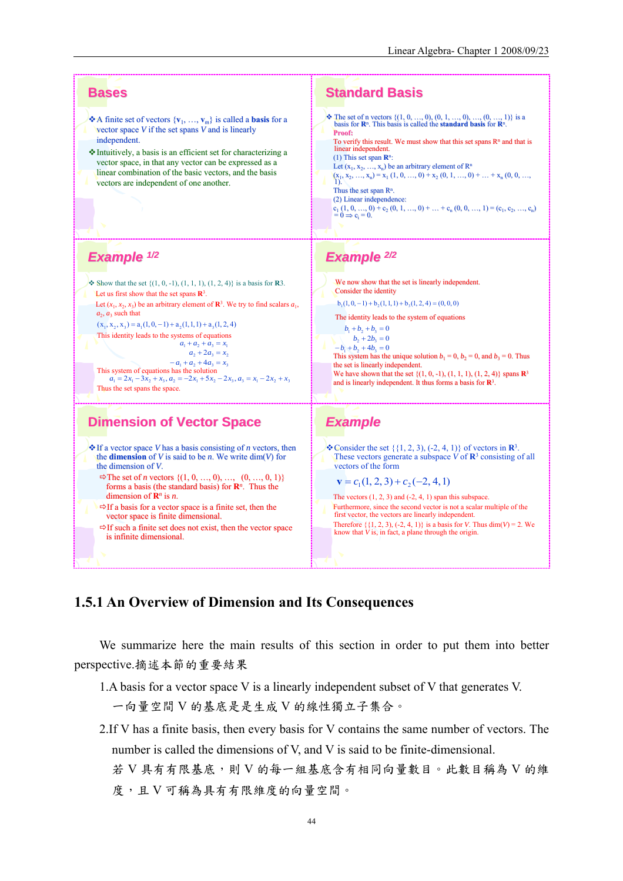

### **1.5.1 An Overview of Dimension and Its Consequences**

We summarize here the main results of this section in order to put them into better perspective.摘述本節的重要結果

1.A basis for a vector space V is a linearly independent subset of V that generates V.

一向量空間 V 的基底是是生成 V 的線性獨立子集合。

2.If V has a finite basis, then every basis for V contains the same number of vectors. The number is called the dimensions of V, and V is said to be finite-dimensional.

若 V 具有有限基底,則 V 的每一組基底含有相同向量數目。此數目稱為 V 的維 度,且 V 可稱為具有有限維度的向量空間。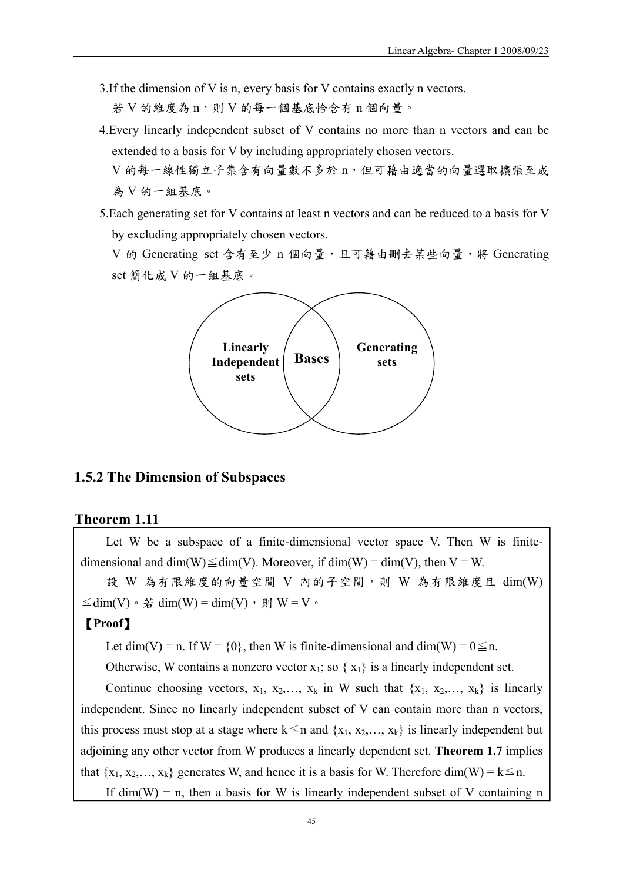- 3.If the dimension of V is n, every basis for V contains exactly n vectors. 若 V 的維度為 n,則 V 的每一個基底恰含有 n 個向量。
- 4.Every linearly independent subset of V contains no more than n vectors and can be extended to a basis for V by including appropriately chosen vectors.

V 的每一線性獨立子集含有向量數不多於 n,但可藉由適當的向量選取擴張至成 為 V 的一組基底。

5.Each generating set for V contains at least n vectors and can be reduced to a basis for V by excluding appropriately chosen vectors.

V 的 Generating set 含有至少 n 個向量,且可藉由刪去某些向量,將 Generating set 簡化成 V 的一組基底。



# **1.5.2 The Dimension of Subspaces**

### **Theorem 1.11**

Let W be a subspace of a finite-dimensional vector space V. Then W is finitedimensional and dim(W) $\leq$ dim(V). Moreover, if dim(W) = dim(V), then V = W.

設 W 為有限維度的向量空間 V 內的子空間,則 W 為有限維度且 dim(W)  $\leq$ dim(V) ·  $\sharp$  dim(W) = dim(V) · 則 W = V ·

### 【**Proof**】

Let dim(V) = n. If W = {0}, then W is finite-dimensional and dim(W) =  $0 \le n$ .

Otherwise, W contains a nonzero vector  $x_1$ ; so  $\{x_1\}$  is a linearly independent set.

Continue choosing vectors,  $x_1, x_2,..., x_k$  in W such that  $\{x_1, x_2,..., x_k\}$  is linearly independent. Since no linearly independent subset of V can contain more than n vectors, this process must stop at a stage where  $k \leq n$  and  $\{x_1, x_2, \ldots, x_k\}$  is linearly independent but adjoining any other vector from W produces a linearly dependent set. **Theorem 1.7** implies that  $\{x_1, x_2, \ldots, x_k\}$  generates W, and hence it is a basis for W. Therefore dim(W) =  $k \leq n$ . If dim(W) = n, then a basis for W is linearly independent subset of V containing n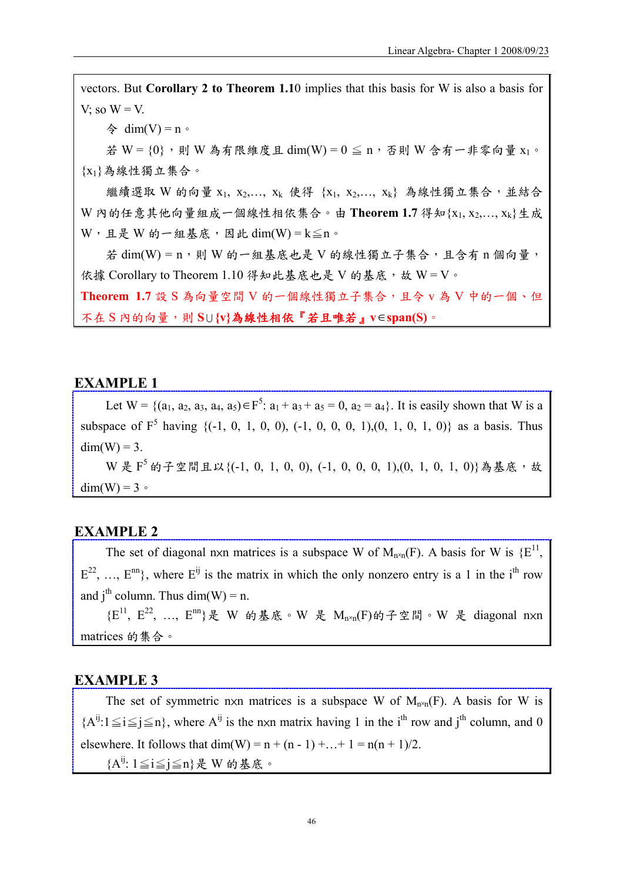vectors. But **Corollary 2 to Theorem 1.1**0 implies that this basis for W is also a basis for V; so  $W = V$ .

令 dim(V) = n。

若 W =  $\{0\}$ , 則 W 為有限維度且 dim(W) =  $0 \leq n$ , 否則 W 含有一非零向量 x<sub>1</sub>。 {x1}為線性獨立集合。

繼續選取 W 的向量 x1, x2,..., xk 使得 {x1, x2,..., xk} 為線性獨立集合,並結合 W 內的任意其他向量組成一個線性相依集合。由 **Theorem 1.7** 得知{x1, x2,…, xk}生成  $W$ ,且是 W 的一組基底,因此 dim(W) =  $k \leq n$ 。

若 dim(W) = n,則 W 的一組基底也是 V 的線性獨立子集合,且含有 n 個向量, 依據 Corollary to Theorem 1.10 得知此基底也是 V 的基底, 故 W = V。 **Theorem 1.7** 設 S 為向量空間 V 的一個線性獨立子集合,且令 v 為 V 中的一個、但 不在 S 內的向量,則 **S** <sup>U</sup> **{v}**為線性相依『若且唯若』**v**∈**span(S)**。

### **EXAMPLE 1**

Let  $W = \{(a_1, a_2, a_3, a_4, a_5) \in F^5$ :  $a_1 + a_3 + a_5 = 0$ ,  $a_2 = a_4\}$ . It is easily shown that W is a subspace of  $F^5$  having  $\{(-1, 0, 1, 0, 0), (-1, 0, 0, 0, 1), (0, 1, 0, 1, 0)\}$  as a basis. Thus  $dim(W) = 3.$ 

 $W \nleq F^{5}$  的子空間且以{(-1, 0, 1, 0, 0), (-1, 0, 0, 0, 1),(0, 1, 0, 1, 0)}為基底,故  $dim(W) = 3$ 

### **EXAMPLE 2**

The set of diagonal nxn matrices is a subspace W of  $M_{n\times n}(F)$ . A basis for W is  $\{E^{11}, E^{21}\}$  $E^{22}$ , ...,  $E^{nn}$ }, where  $E^{ij}$  is the matrix in which the only nonzero entry is a 1 in the i<sup>th</sup> row and  $i^{th}$  column. Thus dim(W) = n.

 ${E}^{11}$ ,  $E^{22}$ , ...,  $E^{nn}$ }是 W 的基底。W 是  $M_{n\times n}(F)$ 的子空間。W 是 diagonal nxn matrices 的集合。

### **EXAMPLE 3**

The set of symmetric nxn matrices is a subspace W of  $M_{n\times n}(F)$ . A basis for W is  ${A^{ij}}:1 \leq i \leq j \leq n$ , where  $A^{ij}$  is the nxn matrix having 1 in the i<sup>th</sup> row and i<sup>th</sup> column, and 0 elsewhere. It follows that  $dim(W) = n + (n - 1) + ... + 1 = n(n + 1)/2$ . {A<sup>ij</sup>: 1≦i≦j≦n}是 W 的基底。

46